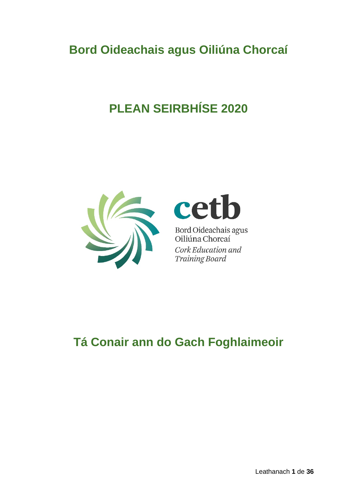# **Bord Oideachais agus Oiliúna Chorcaí**

# **PLEAN SEIRBHÍSE 2020**





Bord Oideachais agus<br>Oiliúna Chorcaí Cork Education and **Training Board** 

**Tá Conair ann do Gach Foghlaimeoir**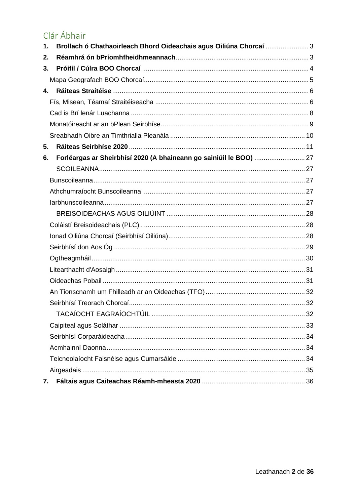# Clár Ábhair

| 1. | Brollach ó Chathaoirleach Bhord Oideachais agus Oiliúna Chorcaí  3 |  |
|----|--------------------------------------------------------------------|--|
| 2. |                                                                    |  |
| 3. |                                                                    |  |
|    |                                                                    |  |
| 4. |                                                                    |  |
|    |                                                                    |  |
|    |                                                                    |  |
|    |                                                                    |  |
|    |                                                                    |  |
| 5. |                                                                    |  |
| 6. |                                                                    |  |
|    |                                                                    |  |
|    |                                                                    |  |
|    |                                                                    |  |
|    |                                                                    |  |
|    |                                                                    |  |
|    |                                                                    |  |
|    |                                                                    |  |
|    |                                                                    |  |
|    |                                                                    |  |
|    |                                                                    |  |
|    |                                                                    |  |
|    |                                                                    |  |
|    |                                                                    |  |
|    |                                                                    |  |
|    |                                                                    |  |
|    |                                                                    |  |
|    |                                                                    |  |
|    |                                                                    |  |
|    |                                                                    |  |
| 7. |                                                                    |  |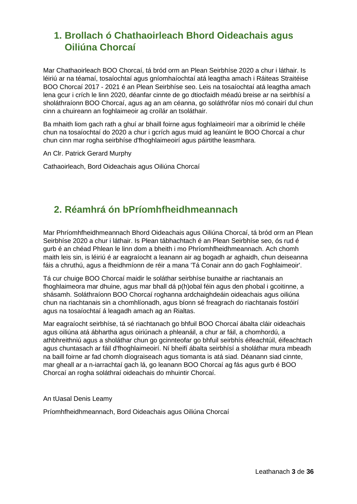# <span id="page-2-0"></span>**1. Brollach ó Chathaoirleach Bhord Oideachais agus Oiliúna Chorcaí**

Mar Chathaoirleach BOO Chorcaí, tá bród orm an Plean Seirbhíse 2020 a chur i láthair. Is léiriú ar na téamaí, tosaíochtaí agus gníomhaíochtaí atá leagtha amach i Ráiteas Straitéise BOO Chorcaí 2017 - 2021 é an Plean Seirbhíse seo. Leis na tosaíochtaí atá leagtha amach lena gcur i crích le linn 2020, déanfar cinnte de go dtiocfaidh méadú breise ar na seirbhísí a sholáthraíonn BOO Chorcaí, agus ag an am céanna, go soláthrófar níos mó conairí dul chun cinn a chuireann an foghlaimeoir ag croílár an tsoláthair.

Ba mhaith liom gach rath a ghuí ar bhaill foirne agus foghlaimeoirí mar a oibrímid le chéile chun na tosaíochtaí do 2020 a chur i gcrích agus muid ag leanúint le BOO Chorcaí a chur chun cinn mar rogha seirbhíse d'fhoghlaimeoirí agus páirtithe leasmhara.

An Clr. Patrick Gerard Murphy

Cathaoirleach, Bord Oideachais agus Oiliúna Chorcaí

# <span id="page-2-1"></span>**2. Réamhrá ón bPríomhfheidhmeannach**

Mar Phríomhfheidhmeannach Bhord Oideachais agus Oiliúna Chorcaí, tá bród orm an Plean Seirbhíse 2020 a chur i láthair. Is Plean tábhachtach é an Plean Seirbhíse seo, ós rud é gurb é an chéad Phlean le linn dom a bheith i mo Phríomhfheidhmeannach. Ach chomh maith leis sin, is léiriú é ar eagraíocht a leanann air ag bogadh ar aghaidh, chun deiseanna fáis a chruthú, agus a fheidhmíonn de réir a mana 'Tá Conair ann do gach Foghlaimeoir'.

Tá cur chuige BOO Chorcaí maidir le soláthar seirbhíse bunaithe ar riachtanais an fhoghlaimeora mar dhuine, agus mar bhall dá p(h)obal féin agus den phobal i gcoitinne, a shásamh. Soláthraíonn BOO Chorcaí roghanna ardchaighdeáin oideachais agus oiliúna chun na riachtanais sin a chomhlíonadh, agus bíonn sé freagrach do riachtanais fostóirí agus na tosaíochtaí á leagadh amach ag an Rialtas.

Mar eagraíocht seirbhíse, tá sé riachtanach go bhfuil BOO Chorcaí ábalta cláir oideachais agus oiliúna atá ábhartha agus oiriúnach a phleanáil, a chur ar fáil, a chomhordú, a athbhreithniú agus a sholáthar chun go gcinnteofar go bhfuil seirbhís éifeachtúil, éifeachtach agus chuntasach ar fáil d'fhoghlaimeoirí. Ní bheifí ábalta seirbhísí a sholáthar mura mbeadh na baill foirne ar fad chomh díograiseach agus tiomanta is atá siad. Déanann siad cinnte, mar gheall ar a n-iarrachtaí gach lá, go leanann BOO Chorcaí ag fás agus gurb é BOO Chorcaí an rogha soláthraí oideachais do mhuintir Chorcaí.

An tUasal Denis Leamy

Príomhfheidhmeannach, Bord Oideachais agus Oiliúna Chorcaí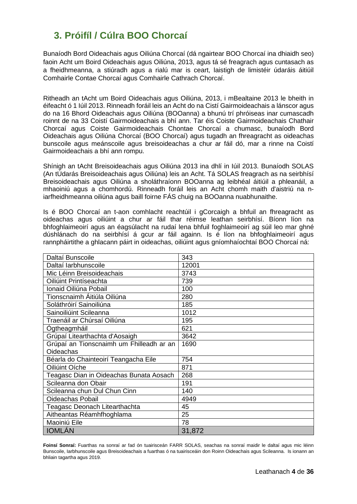# <span id="page-3-0"></span>**3. Próifíl / Cúlra BOO Chorcaí**

Bunaíodh Bord Oideachais agus Oiliúna Chorcaí (dá ngairtear BOO Chorcaí ina dhiaidh seo) faoin Acht um Boird Oideachais agus Oiliúna, 2013, agus tá sé freagrach agus cuntasach as a fheidhmeanna, a stiúradh agus a rialú mar is ceart, laistigh de limistéir údaráis áitiúil Comhairle Contae Chorcaí agus Comhairle Cathrach Chorcaí.

Ritheadh an tAcht um Boird Oideachais agus Oiliúna, 2013, i mBealtaine 2013 le bheith in éifeacht ó 1 Iúil 2013. Rinneadh foráil leis an Acht do na Cistí Gairmoideachais a lánscor agus do na 16 Bhord Oideachais agus Oiliúna (BOOanna) a bhunú trí phróiseas inar cumascadh roinnt de na 33 Coistí Gairmoideachais a bhí ann. Tar éis Coiste Gairmoideachais Chathair Chorcaí agus Coiste Gairmoideachais Chontae Chorcaí a chumasc, bunaíodh Bord Oideachais agus Oiliúna Chorcaí (BOO Chorcaí) agus tugadh an fhreagracht as oideachas bunscoile agus meánscoile agus breisoideachas a chur ar fáil dó, mar a rinne na Coistí Gairmoideachais a bhí ann rompu.

Shínigh an tAcht Breisoideachais agus Oiliúna 2013 ina dhlí in Iúil 2013. Bunaíodh SOLAS (An tÚdarás Breisoideachais agus Oiliúna) leis an Acht. Tá SOLAS freagrach as na seirbhísí Breisoideachais agus Oiliúna a sholáthraíonn BOOanna ag leibhéal áitiúil a phleanáil, a mhaoiniú agus a chomhordú. Rinneadh foráil leis an Acht chomh maith d'aistriú na niarfheidhmeanna oiliúna agus baill foirne FÁS chuig na BOOanna nuabhunaithe.

Is é BOO Chorcaí an t-aon comhlacht reachtúil i gCorcaigh a bhfuil an fhreagracht as oideachas agus oiliúint a chur ar fáil thar réimse leathan seirbhísí. Bíonn líon na bhfoghlaimeoirí agus an éagsúlacht na rudaí lena bhfuil foghlaimeoirí ag súil leo mar ghné dúshlánach do na seirbhísí á gcur ar fáil againn. Is é líon na bhfoghlaimeoirí agus rannpháirtithe a ghlacann páirt in oideachas, oiliúint agus gníomhaíochtaí BOO Chorcaí ná:

| Daltaí Bunscoile                         | 343    |
|------------------------------------------|--------|
| Daltaí larbhunscoile                     | 12001  |
| Mic Léinn Breisoideachais                | 3743   |
| Oiliúint Printíseachta                   | 739    |
| Ionaid Oiliúna Pobail                    | 100    |
| Tionscnaimh Áitiúla Oiliúna              | 280    |
| Soláthróirí Sainoiliúna                  | 185    |
| Sainoiliúint Scileanna                   | 1012   |
| Traenáil ar Chúrsaí Oiliúna              | 195    |
| Ógtheagmháil                             | 621    |
| Grúpaí Litearthachta d'Aosaigh           | 3642   |
| Grúpaí an Tionscnaimh um Fhilleadh ar an | 1690   |
| Oideachas                                |        |
| Béarla do Chainteoirí Teangacha Eile     | 754    |
| Oiliúint Oíche                           | 871    |
| Teagasc Dian in Oideachas Bunata Aosach  | 268    |
| Scileanna don Obair                      | 191    |
| Scileanna chun Dul Chun Cinn             | 140    |
| Oideachas Pobail                         | 4949   |
| Teagasc Deonach Litearthachta            | 45     |
| Aitheantas Réamhfhoghlama                | 25     |
| Maoiniú Eile                             | 78     |
| <b>IOMLAN</b>                            | 31,872 |

**Foinsí Sonraí:** Fuarthas na sonraí ar fad ón tuairisceán FARR SOLAS, seachas na sonraí maidir le daltaí agus mic léinn Bunscoile, Iarbhunscoile agus Breisoideachais a fuarthas ó na tuairisceáin don Roinn Oideachais agus Scileanna. Is ionann an bhliain tagartha agus 2019.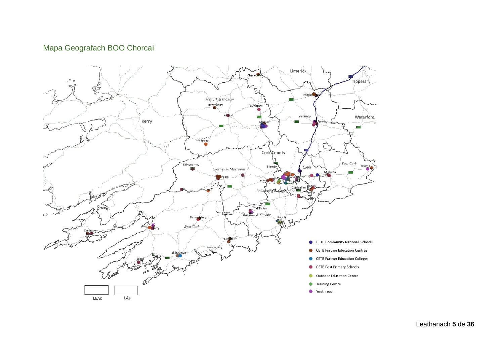### Mapa Geografach BOO Chorcaí

<span id="page-4-0"></span>

Leathanach **5** de **36**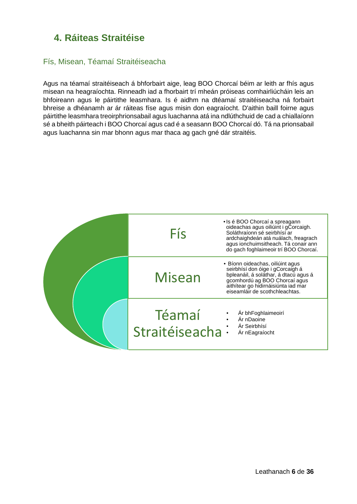# <span id="page-5-0"></span>**4. Ráiteas Straitéise**

#### <span id="page-5-1"></span>Fís, Misean, Téamaí Straitéiseacha

Agus na téamaí straitéiseach á bhforbairt aige, leag BOO Chorcaí béim ar leith ar fhís agus misean na heagraíochta. Rinneadh iad a fhorbairt trí mheán próiseas comhairliúcháin leis an bhfoireann agus le páirtithe leasmhara. Is é aidhm na dtéamaí straitéiseacha ná forbairt bhreise a dhéanamh ar ár ráiteas físe agus misin don eagraíocht. D'aithin baill foirne agus páirtithe leasmhara treoirphrionsabail agus luachanna atá ina ndlúthchuid de cad a chiallaíonn sé a bheith páirteach i BOO Chorcaí agus cad é a seasann BOO Chorcaí dó. Tá na prionsabail agus luachanna sin mar bhonn agus mar thaca ag gach gné dár straitéis.

| Fís                       | • Is é BOO Chorcaí a spreagann<br>oideachas agus oiliúint i gCorcaigh.<br>Soláthraíonn sé seirbhísí ar<br>ardchaighdeán atá nuálach, freagrach<br>agus ionchuimsitheach. Tá conair ann<br>do gach foghlaimeoir trí BOO Chorcaí. |
|---------------------------|---------------------------------------------------------------------------------------------------------------------------------------------------------------------------------------------------------------------------------|
| Misean                    | • Bíonn oideachas, oiliúint agus<br>seirbhísí don óige i gCorcaigh á<br>bpleanáil, á soláthar, á dtacú agus á<br>gcomhordú ag BOO Chorcaí agus<br>aithítear go hidirnáisiúnta iad mar<br>eiseamláir de scothchleachtas.         |
| Téamaí<br>Straitéiseacha: | Ár bhFoghlaimeoirí<br>Ár nDaoine<br>Ár Seirbhísí<br>Ár nEagraíocht                                                                                                                                                              |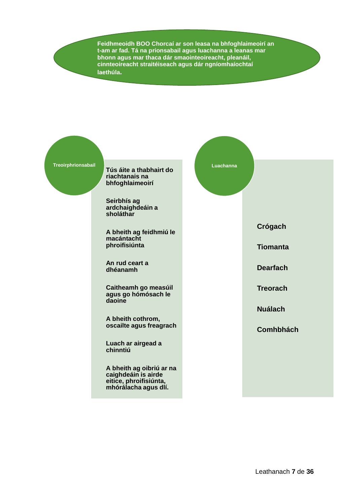**Feidhmeoidh BOO Chorcaí ar son leasa na bhfoghlaimeoirí an t-am ar fad. Tá na prionsabail agus luachanna a leanas mar bhonn agus mar thaca dár smaointeoireacht, pleanáil, cinnteoireacht straitéiseach agus dár ngníomhaíochtaí laethúla.**



**Tús áite a thabhairt do riachtanais na bhfoghlaimeoirí**

**Seirbhís ag ardchaighdeáin a sholáthar**

**A bheith ag feidhmiú le macántacht phroifisiúnta** 

**An rud ceart a dhéanamh** 

**Caitheamh go measúil agus go hómósach le daoine**

**A bheith cothrom, oscailte agus freagrach** 

**Luach ar airgead a chinntiú**

**A bheith ag oibriú ar na caighdeáin is airde eitice, phroifisiúnta, mhórálacha agus dlí.**



**Comhbhách**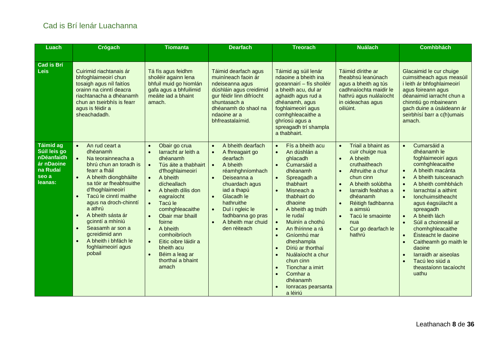### Cad is Brí lenár Luachanna

<span id="page-7-0"></span>

| Luach                                                                                                | Crógach                                                                                                                                                                                                                                                                                                                                                                                                                                               | Tiomanta                                                                                                                                                                                                                                                                                                                                                                                                                                                                    | <b>Dearfach</b>                                                                                                                                                                                                                                                                                                                      | <b>Treorach</b>                                                                                                                                                                                                                                                                                                                                                                                                                                                                                                                                    | <b>Nuálach</b>                                                                                                                                                                                                                                                                                                                       | <b>Comhbhách</b>                                                                                                                                                                                                                                                                                                                                                                                                                                                                                                                 |
|------------------------------------------------------------------------------------------------------|-------------------------------------------------------------------------------------------------------------------------------------------------------------------------------------------------------------------------------------------------------------------------------------------------------------------------------------------------------------------------------------------------------------------------------------------------------|-----------------------------------------------------------------------------------------------------------------------------------------------------------------------------------------------------------------------------------------------------------------------------------------------------------------------------------------------------------------------------------------------------------------------------------------------------------------------------|--------------------------------------------------------------------------------------------------------------------------------------------------------------------------------------------------------------------------------------------------------------------------------------------------------------------------------------|----------------------------------------------------------------------------------------------------------------------------------------------------------------------------------------------------------------------------------------------------------------------------------------------------------------------------------------------------------------------------------------------------------------------------------------------------------------------------------------------------------------------------------------------------|--------------------------------------------------------------------------------------------------------------------------------------------------------------------------------------------------------------------------------------------------------------------------------------------------------------------------------------|----------------------------------------------------------------------------------------------------------------------------------------------------------------------------------------------------------------------------------------------------------------------------------------------------------------------------------------------------------------------------------------------------------------------------------------------------------------------------------------------------------------------------------|
|                                                                                                      |                                                                                                                                                                                                                                                                                                                                                                                                                                                       |                                                                                                                                                                                                                                                                                                                                                                                                                                                                             |                                                                                                                                                                                                                                                                                                                                      |                                                                                                                                                                                                                                                                                                                                                                                                                                                                                                                                                    |                                                                                                                                                                                                                                                                                                                                      |                                                                                                                                                                                                                                                                                                                                                                                                                                                                                                                                  |
| <b>Cad is Bri</b><br><b>Leis</b>                                                                     | Cuirimid riachtanais ár<br>bhfoghlaimeoirí chun<br>tosaigh agus níl faitíos<br>orainn na cinntí deacra<br>riachtanacha a dhéanamh<br>chun an tseirbhís is fearr<br>agus is féidir a<br>sheachadadh.                                                                                                                                                                                                                                                   | Tá fís agus feidhm<br>shoiléir againn lena<br>bhfuil muid go hiomlán<br>gafa agus a bhfuilimid<br>meáite iad a bhaint<br>amach.                                                                                                                                                                                                                                                                                                                                             | Táimid dearfach agus<br>muiníneach faoin ár<br>ndeiseanna agus<br>dúshláin agus creidimid<br>gur féidir linn difríocht<br>shuntasach a<br>dhéanamh do shaol na<br>ndaoine ar a<br>bhfreastalaímid.                                                                                                                                   | Táimid ag súil lenár<br>ndaoine a bheith ina<br>gceannairí - fís shoiléir<br>a bheith acu, dul ar<br>aghaidh agus rud a<br>dhéanamh, agus<br>foghlaimeoirí agus<br>comhghleacaithe a<br>ghríosú agus a<br>spreagadh trí shampla<br>a thabhairt.                                                                                                                                                                                                                                                                                                    | Táimid dírithe ar<br>fheabhsú leanúnach<br>agus a bheith ag tús<br>cadhnaíochta maidir le<br>hathrú agus nuálaíocht<br>in oideachas agus<br>oiliúint.                                                                                                                                                                                | Glacaimid le cur chuige<br>cuimsitheach agus measúil<br>i leith ár bhfoghlaimeoirí<br>agus foireann agus<br>déanaimid iarracht chun a<br>chinntiú go mbaineann<br>gach duine a úsáideann ár<br>seirbhísí barr a c(h)umais<br>amach.                                                                                                                                                                                                                                                                                              |
| <b>Táimid ag</b><br>Súil leis go<br>nDéanfaidh<br>ár nDaoine<br>na Rud <u>aí</u><br>seo a<br>leanas: | $\bullet$<br>An rud ceart a<br>dhéanamh<br>$\bullet$<br>Na teorainneacha a<br>bhrú chun an toradh is<br>fearr a fháil<br>A bheith diongbháilte<br>sa tóir ar fheabhsuithe<br>d'fhoghlaimeoirí<br>Tacú le cinntí maithe<br>$\bullet$<br>agus na droch-chinntí<br>a athrú<br>A bheith sásta ár<br>$\bullet$<br>gcinntí a mhíniú<br>Seasamh ar son a<br>$\bullet$<br>gcreidimid ann<br>A bheith i bhfách le<br>$\bullet$<br>foghlaimeoirí agus<br>pobail | Obair go crua<br>$\bullet$<br>larracht ar leith a<br>$\bullet$<br>dhéanamh<br>Tús áite a thabhairt<br>$\bullet$<br>d'fhoghlaimeoirí<br>$\bullet$<br>A bheith<br>dícheallach<br>$\bullet$<br>A bheith dílis don<br>eagraíocht<br>Tacú le<br>$\bullet$<br>comhghleacaithe<br>Obair mar bhaill<br>$\bullet$<br>foirne<br>A bheith<br>$\bullet$<br>comhoibríoch<br>Eitic oibre láidir a<br>$\bullet$<br>bheith acu<br>Béim a leag ar<br>$\bullet$<br>thorthaí a bhaint<br>amach | A bheith dearfach<br>$\bullet$<br>A fhreagairt go<br>$\bullet$<br>dearfach<br>A bheith<br>$\bullet$<br>réamhghníomhach<br>Deiseanna a<br>$\bullet$<br>chuardach agus<br>iad a thapú<br>Glacadh le<br>$\bullet$<br>hathruithe<br>Dul i ngleic le<br>$\bullet$<br>fadhbanna go pras<br>A bheith mar chuid<br>$\bullet$<br>den réiteach | Fís a bheith acu<br>$\bullet$<br>An dúshlán a<br>$\bullet$<br>ghlacadh<br>Cumarsáid a<br>$\bullet$<br>dhéanamh<br>Spreagadh a<br>$\bullet$<br>thabhairt<br>Misneach a<br>$\bullet$<br>thabhairt do<br>dhaoine<br>A bheith ag tnúth<br>le rudaí<br>Muinín a chothú<br>$\bullet$<br>An fhírinne a rá<br>$\bullet$<br>Gníomhú mar<br>$\bullet$<br>dheshampla<br>Díriú ar thorthaí<br>$\bullet$<br>Nuálaíocht a chur<br>$\bullet$<br>chun cinn<br>Tionchar a imirt<br>$\bullet$<br>Comhar a<br>$\bullet$<br>dhéanamh<br>Ionracas pearsanta<br>a léiriú | Triail a bhaint as<br>$\bullet$<br>cuir chuige nua<br>A bheith<br>$\bullet$<br>cruthaitheach<br>Athruithe a chur<br>$\bullet$<br>chun cinn<br>A bheith solúbtha<br>$\bullet$<br>larraidh feabhas a<br>$\bullet$<br>dhéanamh<br>Réitigh fadhbanna<br>$\bullet$<br>a aimsiú<br>Tacú le smaointe<br>nua<br>Cur go dearfach le<br>hathrú | Cumarsáid a<br>$\bullet$<br>dhéanamh le<br>foghlaimeoirí agus<br>comhghleacaithe<br>A bheith macánta<br>$\bullet$<br>A bheith tuisceanach<br>$\bullet$<br>A bheith comhbhách<br>larrachtaí a aithint<br>$\bullet$<br>Ionchuimsitheacht<br>$\bullet$<br>agus éagsúlacht a<br>spreagadh<br>A bheith lách<br>$\bullet$<br>Súil a choinneáil ar<br>chomhghleacaithe<br>Éisteacht le daoine<br>Caitheamh go maith le<br>daoine<br>larraidh ar aiseolas<br>$\bullet$<br>Tacú leo siúd a<br>$\bullet$<br>theastaíonn tacaíocht<br>uathu |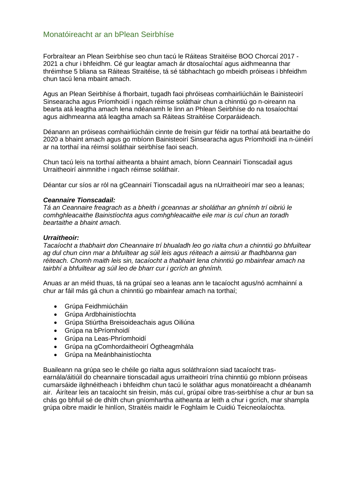#### <span id="page-8-0"></span>Monatóireacht ar an bPlean Seirbhíse

Forbraítear an Plean Seirbhíse seo chun tacú le Ráiteas Straitéise BOO Chorcaí 2017 - 2021 a chur i bhfeidhm. Cé gur leagtar amach ár dtosaíochtaí agus aidhmeanna thar thréimhse 5 bliana sa Ráiteas Straitéise, tá sé tábhachtach go mbeidh próiseas i bhfeidhm chun tacú lena mbaint amach.

Agus an Plean Seirbhíse á fhorbairt, tugadh faoi phróiseas comhairliúcháin le Bainisteoirí Sinsearacha agus Príomhoidí i ngach réimse soláthair chun a chinntiú go n-oireann na bearta atá leagtha amach lena ndéanamh le linn an Phlean Seirbhíse do na tosaíochtaí agus aidhmeanna atá leagtha amach sa Ráiteas Straitéise Corparáideach.

Déanann an próiseas comhairliúcháin cinnte de freisin gur féidir na torthaí atá beartaithe do 2020 a bhaint amach agus go mbíonn Bainisteoirí Sinsearacha agus Príomhoidí ina n-úinéirí ar na torthaí ina réimsí soláthair seirbhíse faoi seach.

Chun tacú leis na torthaí aitheanta a bhaint amach, bíonn Ceannairí Tionscadail agus Urraitheoirí ainmnithe i ngach réimse soláthair.

Déantar cur síos ar ról na gCeannairí Tionscadail agus na nUrraitheoirí mar seo a leanas;

#### *Ceannaire Tionscadail:*

*Tá an Ceannaire freagrach as a bheith i gceannas ar sholáthar an ghnímh trí oibriú le comhghleacaithe Bainistíochta agus comhghleacaithe eile mar is cuí chun an toradh beartaithe a bhaint amach.* 

#### *Urraitheoir:*

*Tacaíocht a thabhairt don Cheannaire trí bhualadh leo go rialta chun a chinntiú go bhfuiltear ag dul chun cinn mar a bhfuiltear ag súil leis agus réiteach a aimsiú ar fhadhbanna gan réiteach. Chomh maith leis sin, tacaíocht a thabhairt lena chinntiú go mbainfear amach na tairbhí a bhfuiltear ag súil leo de bharr cur i gcrích an ghnímh.*

Anuas ar an méid thuas, tá na grúpaí seo a leanas ann le tacaíocht agus/nó acmhainní a chur ar fáil más gá chun a chinntiú go mbainfear amach na torthaí;

- Grúpa Feidhmiúcháin
- Grúpa Ardbhainistíochta
- Grúpa Stiúrtha Breisoideachais agus Oiliúna
- Grúpa na bPríomhoidí
- Grúpa na Leas-Phríomhoidí
- Grúpa na gComhordaitheoirí Ógtheagmhála
- Grúpa na Meánbhainistíochta

Buaileann na grúpa seo le chéile go rialta agus soláthraíonn siad tacaíocht trasearnála/áitiúil do cheannaire tionscadail agus urraitheoirí trína chinntiú go mbíonn próiseas cumarsáide ilghnéitheach i bhfeidhm chun tacú le soláthar agus monatóireacht a dhéanamh air. Áirítear leis an tacaíocht sin freisin, más cuí, grúpaí oibre tras-seirbhíse a chur ar bun sa chás go bhfuil sé de dhíth chun gníomhartha aitheanta ar leith a chur i gcrích, mar shampla grúpa oibre maidir le hinlíon, Straitéis maidir le Foghlaim le Cuidiú Teicneolaíochta.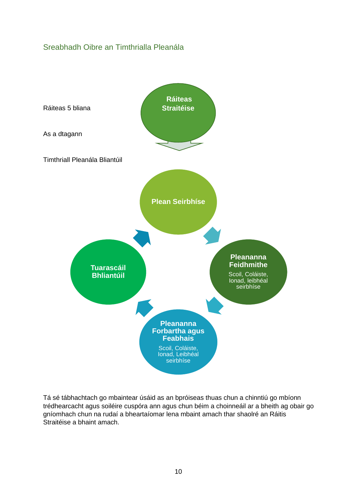### <span id="page-9-0"></span>Sreabhadh Oibre an Timthrialla Pleanála



Tá sé tábhachtach go mbaintear úsáid as an bpróiseas thuas chun a chinntiú go mbíonn trédhearcacht agus soiléire cuspóra ann agus chun béim a choinneáil ar a bheith ag obair go gníomhach chun na rudaí a bheartaíomar lena mbaint amach thar shaolré an Ráitis Straitéise a bhaint amach.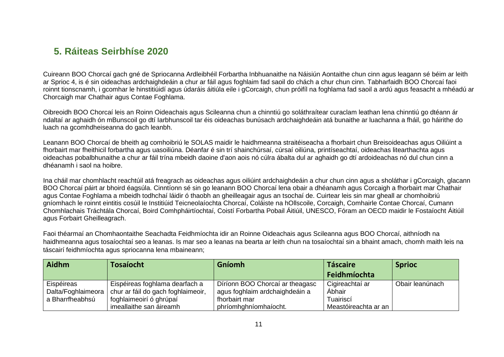# **5. Ráiteas Seirbhíse 2020**

Cuireann BOO Chorcaí gach gné de Spriocanna Ardleibhéil Forbartha Inbhuanaithe na Náisiún Aontaithe chun cinn agus leagann sé béim ar leith ar Sprioc 4, is é sin oideachas ardchaighdeáin a chur ar fáil agus foghlaim fad saoil do chách a chur chun cinn. Tabharfaidh BOO Chorcaí faoi roinnt tionscnamh, i gcomhar le hinstitiúidí agus údaráis áitiúla eile i gCorcaigh, chun próifíl na foghlama fad saoil a ardú agus feasacht a mhéadú ar Chorcaigh mar Chathair agus Contae Foghlama.

Oibreoidh BOO Chorcaí leis an Roinn Oideachais agus Scileanna chun a chinntiú go soláthraítear curaclam leathan lena chinntiú go dtéann ár ndaltaí ar aghaidh ón mBunscoil go dtí Iarbhunscoil tar éis oideachas bunúsach ardchaighdeáin atá bunaithe ar luachanna a fháil, go háirithe do luach na gcomhdheiseanna do gach leanbh.

Leanann BOO Chorcaí de bheith ag comhoibriú le SOLAS maidir le haidhmeanna straitéiseacha a fhorbairt chun Breisoideachas agus Oiliúint a fhorbairt mar fheithicil forbartha agus uasoiliúna. Déanfar é sin trí shainchúrsaí, cúrsaí oiliúna, printíseachtaí, oideachas litearthachta agus oideachas pobalbhunaithe a chur ar fáil trína mbeidh daoine d'aon aois nó cúlra ábalta dul ar aghaidh go dtí ardoideachas nó dul chun cinn a dhéanamh i saol na hoibre.

<span id="page-10-0"></span>Ina cháil mar chomhlacht reachtúil atá freagrach as oideachas agus oiliúint ardchaighdeáin a chur chun cinn agus a sholáthar i gCorcaigh, glacann BOO Chorcaí páirt ar bhoird éagsúla. Cinntíonn sé sin go leanann BOO Chorcaí lena obair a dhéanamh agus Corcaigh a fhorbairt mar Chathair agus Contae Foghlama a mbeidh todhchaí láidir ó thaobh an gheilleagair agus an tsochaí de. Cuirtear leis sin mar gheall ar chomhoibriú gníomhach le roinnt eintitis cosúil le Institiúid Teicneolaíochta Chorcaí, Coláiste na hOllscoile, Corcaigh, Comhairle Contae Chorcaí, Cumann Chomhlachais Tráchtála Chorcaí, Boird Comhpháirtíochtaí, Coistí Forbartha Pobail Áitiúil, UNESCO, Fóram an OECD maidir le Fostaíocht Áitiúil agus Forbairt Gheilleagrach.

Faoi théarmaí an Chomhaontaithe Seachadta Feidhmíochta idir an Roinne Oideachais agus Scileanna agus BOO Chorcaí, aithníodh na haidhmeanna agus tosaíochtaí seo a leanas. Is mar seo a leanas na bearta ar leith chun na tosaíochtaí sin a bhaint amach, chomh maith leis na táscairí feidhmíochta agus spriocanna lena mbaineann;

| <b>Aidhm</b>                                        | <b>Tosaíocht</b>                                                     | <b>Gníomh</b>                                                                      | <b>Táscaire</b>                        | <b>Sprioc</b>   |
|-----------------------------------------------------|----------------------------------------------------------------------|------------------------------------------------------------------------------------|----------------------------------------|-----------------|
|                                                     |                                                                      |                                                                                    | Feidhmíochta                           |                 |
| Eispéireas<br>Dalta/Foghlaimeora<br>a Bharrfheabhsú | Eispéireas foghlama dearfach a<br>chur ar fáil do gach foghlaimeoir, | Díríonn BOO Chorcaí ar theagasc<br>agus foghlaim ardchaighdeáin a<br>fhorbairt mar | Cigireachtaí ar<br>Abhair<br>Tuairiscí | Obair leanúnach |
|                                                     | foghlaimeoirí ó ghrúpaí<br>imeallaithe san áireamh                   | phríomhghníomhaíocht.                                                              | Meastóireachta ar an                   |                 |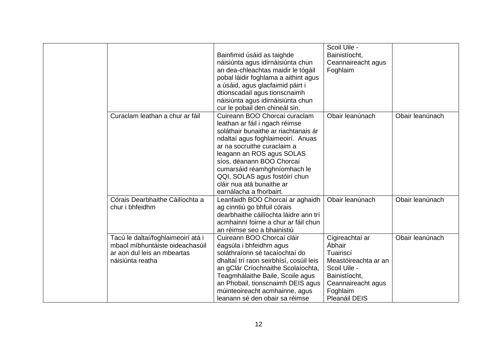|                                                                                                                          | Bainfimid úsáid as taighde<br>náisiúnta agus idirnáisiúnta chun<br>an dea-chleachtas maidir le tógáil<br>pobal láidir foghlama a aithint agus<br>a úsáid, agus glacfaimid páirt i<br>dtionscadail agus tionscnaimh<br>náisiúnta agus idirnáisiúnta chun<br>cur le pobail den chineál sin.                                                                      | Scoil Uile -<br>Bainistíocht,<br>Ceannaireacht agus<br>Foghlaim                                                                                    |                 |
|--------------------------------------------------------------------------------------------------------------------------|----------------------------------------------------------------------------------------------------------------------------------------------------------------------------------------------------------------------------------------------------------------------------------------------------------------------------------------------------------------|----------------------------------------------------------------------------------------------------------------------------------------------------|-----------------|
| Curaclam leathan a chur ar fáil                                                                                          | Cuireann BOO Chorcaí curaclam<br>leathan ar fáil i ngach réimse<br>soláthair bunaithe ar riachtanais ár<br>ndaltaí agus foghlaimeoirí. Anuas<br>ar na socruithe curaclaim a<br>leagann an ROS agus SOLAS<br>síos, déanann BOO Chorcaí<br>cumarsáid réamhghníomhach le<br>QQI, SOLAS agus fostóirí chun<br>cláir nua atá bunaithe ar<br>earnálacha a fhorbairt. | Obair leanúnach                                                                                                                                    | Obair leanúnach |
| Córais Dearbhaithe Cáilíochta a<br>chur i bhfeidhm                                                                       | Leanfaidh BOO Chorcaí ar aghaidh<br>ag cinntiú go bhfuil córais<br>dearbhaithe cáilíochta láidre ann trí<br>acmhainní foirne a chur ar fáil chun<br>an réimse seo a bhainistiú                                                                                                                                                                                 | Obair leanúnach                                                                                                                                    | Obair leanúnach |
| Tacú le daltaí/foghlaimeoirí atá i<br>mbaol míbhuntáiste oideachasúil<br>ar aon dul leis an mbeartas<br>náisiúnta reatha | Cuireann BOO Chorcaí cláir<br>éagsúla i bhfeidhm agus<br>soláthraíonn sé tacaíochtaí do<br>dhaltaí trí raon seirbhísí, cosúil leis<br>an gClár Críochnaithe Scolaíochta,<br>Teagmhálaithe Baile, Scoile agus<br>an Phobail, tionscnaimh DEIS agus<br>múinteoireacht acmhainne, agus<br>leanann sé den obair sa réimse                                          | Cigireachtaí ar<br>Ábhair<br>Tuairiscí<br>Meastóireachta ar an<br>Scoil Uile -<br>Bainistíocht,<br>Ceannaireacht agus<br>Foghlaim<br>Pleanáil DEIS | Obair leanúnach |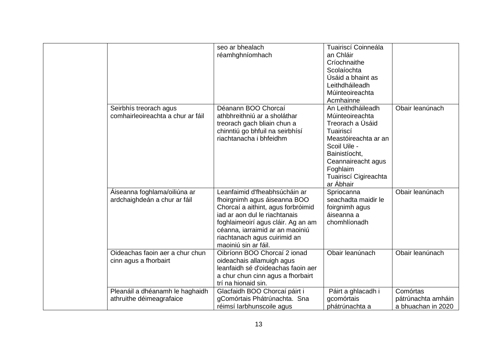|                                   | seo ar bhealach                    | Tuairiscí Coinneála   |                    |
|-----------------------------------|------------------------------------|-----------------------|--------------------|
|                                   | réamhghníomhach                    | an Chláir             |                    |
|                                   |                                    | Críochnaithe          |                    |
|                                   |                                    | Scolaíochta           |                    |
|                                   |                                    | Úsáid a bhaint as     |                    |
|                                   |                                    | Leithdháileadh        |                    |
|                                   |                                    | Múinteoireachta       |                    |
|                                   |                                    | Acmhainne             |                    |
| Seirbhís treorach agus            | Déanann BOO Chorcaí                | An Leithdháileadh     | Obair leanúnach    |
| comhairleoireachta a chur ar fáil | athbhreithniú ar a sholáthar       | Múinteoireachta       |                    |
|                                   | treorach gach bliain chun a        | Treorach a Úsáid      |                    |
|                                   | chinntiú go bhfuil na seirbhísí    | Tuairiscí             |                    |
|                                   | riachtanacha i bhfeidhm            | Meastóireachta ar an  |                    |
|                                   |                                    | Scoil Uile -          |                    |
|                                   |                                    | Bainistíocht,         |                    |
|                                   |                                    | Ceannaireacht agus    |                    |
|                                   |                                    | Foghlaim              |                    |
|                                   |                                    | Tuairiscí Cigireachta |                    |
|                                   |                                    | ar Ábhair             |                    |
| Áiseanna foghlama/oiliúna ar      | Leanfaimid d'fheabhsúcháin ar      | Spriocanna            | Obair leanúnach    |
| ardchaighdeán a chur ar fáil      | fhoirgnimh agus áiseanna BOO       | seachadta maidir le   |                    |
|                                   | Chorcaí a aithint, agus forbróimid | foirgnimh agus        |                    |
|                                   | iad ar aon dul le riachtanais      | áiseanna a            |                    |
|                                   | foghlaimeoirí agus cláir. Ag an am | chomhlíonadh          |                    |
|                                   | céanna, iarraimid ar an maoiniú    |                       |                    |
|                                   | riachtanach agus cuirimid an       |                       |                    |
|                                   | maoiniú sin ar fáil.               |                       |                    |
| Oideachas faoin aer a chur chun   | Oibríonn BOO Chorcaí 2 ionad       | Obair leanúnach       | Obair leanúnach    |
| cinn agus a fhorbairt             | oideachais allamuigh agus          |                       |                    |
|                                   | leanfaidh sé d'oideachas faoin aer |                       |                    |
|                                   | a chur chun cinn agus a fhorbairt  |                       |                    |
|                                   | trí na hionaid sin.                |                       |                    |
| Pleanáil a dhéanamh le haghaidh   | Glacfaidh BOO Chorcaí páirt i      | Páirt a ghlacadh i    | Comórtas           |
| athruithe déimeagrafaice          | gComórtais Phátrúnachta. Sna       | gcomórtais            | pátrúnachta amháin |
|                                   | réimsí larbhunscoile agus          | phátrúnachta a        | a bhuachan in 2020 |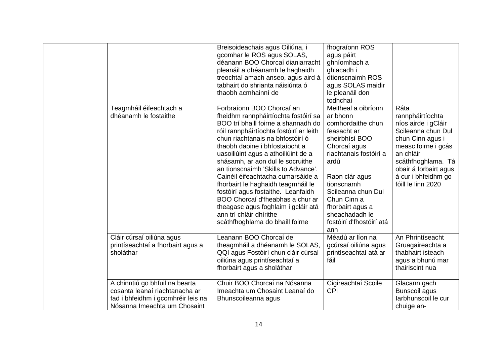|                                                                                                                                        | Breisoideachais agus Oiliúna, i<br>gcomhar le ROS agus SOLAS,<br>déanann BOO Chorcaí dianiarracht<br>pleanáil a dhéanamh le haghaidh<br>treochtaí amach anseo, agus aird á<br>tabhairt do shrianta náisiúnta ó<br>thaobh acmhainní de                                                                                                                                                                                                                                                                                                                                                                 | fhograíonn ROS<br>agus páirt<br>ghníomhach a<br>ghlacadh i<br>dtionscnaimh ROS<br>agus SOLAS maidir<br>le pleanáil don<br>todhchaí                                                                                                                                                    |                                                                                                                                                                                                                           |
|----------------------------------------------------------------------------------------------------------------------------------------|-------------------------------------------------------------------------------------------------------------------------------------------------------------------------------------------------------------------------------------------------------------------------------------------------------------------------------------------------------------------------------------------------------------------------------------------------------------------------------------------------------------------------------------------------------------------------------------------------------|---------------------------------------------------------------------------------------------------------------------------------------------------------------------------------------------------------------------------------------------------------------------------------------|---------------------------------------------------------------------------------------------------------------------------------------------------------------------------------------------------------------------------|
| Teagmháil éifeachtach a<br>dhéanamh le fostaithe                                                                                       | Forbraíonn BOO Chorcaí an<br>fheidhm rannpháirtíochta fostóirí sa<br>BOO trí bhaill foirne a shannadh do<br>róil rannpháirtíochta fostóirí ar leith<br>chun riachtanais na bhfostóirí ó<br>thaobh daoine i bhfostaíocht a<br>uasoiliúint agus a athoiliúint de a<br>shásamh, ar aon dul le socruithe<br>an tionscnaimh 'Skills to Advance'.<br>Cainéil éifeachtacha cumarsáide a<br>fhorbairt le haghaidh teagmháil le<br>fostóirí agus fostaithe. Leanfaidh<br>BOO Chorcaí d'fheabhas a chur ar<br>theagasc agus foghlaim i gcláir atá<br>ann trí chláir dhírithe<br>scáthfhoghlama do bhaill foirne | Meitheal a oibríonn<br>ar bhonn<br>comhordaithe chun<br>feasacht ar<br>sheirbhísí BOO<br>Chorcaí agus<br>riachtanais fostóirí a<br>ardú<br>Raon clár agus<br>tionscnamh<br>Scileanna chun Dul<br>Chun Cinn a<br>fhorbairt agus a<br>sheachadadh le<br>fostóirí d'fhostóirí atá<br>ann | Ráta<br>rannpháirtíochta<br>níos airde i gCláir<br>Scileanna chun Dul<br>chun Cinn agus i<br>measc foirne i gcás<br>an chláir<br>scáthfhoghlama. Tá<br>obair á forbairt agus<br>á cur i bhfeidhm go<br>fóill le linn 2020 |
| Cláir cúrsaí oiliúna agus<br>printíseachtaí a fhorbairt agus a<br>sholáthar                                                            | Leanann BOO Chorcaí de<br>theagmháil a dhéanamh le SOLAS,<br>QQI agus Fostóirí chun cláir cúrsaí<br>oiliúna agus printíseachtaí a<br>fhorbairt agus a sholáthar                                                                                                                                                                                                                                                                                                                                                                                                                                       | Méadú ar líon na<br>gcúrsaí oiliúna agus<br>printíseachtaí atá ar<br>fáil                                                                                                                                                                                                             | An Phrintíseacht<br>Gruagaireachta a<br>thabhairt isteach<br>agus a bhunú mar<br>thairiscint nua                                                                                                                          |
| A chinntiú go bhfuil na bearta<br>cosanta leanaí riachtanacha ar<br>fad i bhfeidhm i gcomhréir leis na<br>Nósanna Imeachta um Chosaint | Chuir BOO Chorcaí na Nósanna<br>Imeachta um Chosaint Leanaí do<br>Bhunscoileanna agus                                                                                                                                                                                                                                                                                                                                                                                                                                                                                                                 | Cigireachtaí Scoile<br><b>CPI</b>                                                                                                                                                                                                                                                     | Glacann gach<br><b>Bunscoil agus</b><br>larbhunscoil le cur<br>chuige an-                                                                                                                                                 |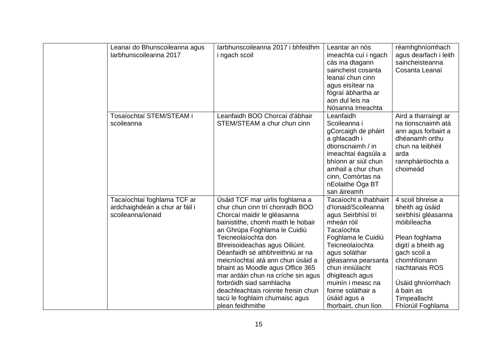| Leanaí do Bhunscoileanna agus<br>Iarbhunscoileanna 2017                            | larbhunscoileanna 2017 i bhfeidhm<br>i ngach scoil                                                                                                                                                                                                                                                                                                                                                                                                                                                           | Leantar an nós<br>imeachta cuí i ngach<br>cás ina dtagann<br>saincheist cosanta<br>leanaí chun cinn<br>agus eisítear na<br>fógraí ábhartha ar<br>aon dul leis na<br>Nósanna Imeachta                                                                                                                     | réamhghníomhach<br>agus dearfach i leith<br>saincheisteanna<br>Cosanta Leanaí                                                                                                                                                               |
|------------------------------------------------------------------------------------|--------------------------------------------------------------------------------------------------------------------------------------------------------------------------------------------------------------------------------------------------------------------------------------------------------------------------------------------------------------------------------------------------------------------------------------------------------------------------------------------------------------|----------------------------------------------------------------------------------------------------------------------------------------------------------------------------------------------------------------------------------------------------------------------------------------------------------|---------------------------------------------------------------------------------------------------------------------------------------------------------------------------------------------------------------------------------------------|
| Tosaíochtaí STEM/STEAM i<br>scoileanna                                             | Leanfaidh BOO Chorcaí d'ábhair<br>STEM/STEAM a chur chun cinn                                                                                                                                                                                                                                                                                                                                                                                                                                                | Leanfaidh<br>Scoileanna i<br>gCorcaigh de pháirt<br>a ghlacadh i<br>dtionscnaimh / in<br>imeachtaí éagsúla a<br>bhíonn ar siúl chun<br>amhail a chur chun<br>cinn, Comórtas na<br>nEolaithe Óga BT<br>san áireamh                                                                                        | Aird a tharraingt ar<br>na tionscnaimh atá<br>ann agus forbairt a<br>dhéanamh orthu<br>chun na leibhéil<br>arda<br>rannpháirtíochta a<br>choimeád                                                                                           |
| Tacaíochtaí foghlama TCF ar<br>ardchaighdeán a chur ar fáil i<br>scoileanna/ionaid | Úsáid TCF mar uirlis foghlama a<br>chur chun cinn trí chonradh BOO<br>Chorcaí maidir le gléasanna<br>bainistithe, chomh maith le hobair<br>an Ghrúpa Foghlama le Cuidiú<br>Teicneolaíochta don<br>Bhreisoideachas agus Oiliúint.<br>Déanfaidh sé athbhreithniú ar na<br>meicníochtaí atá ann chun úsáid a<br>bhaint as Moodle agus Office 365<br>mar ardáin chun na críche sin agus<br>forbróidh siad samhlacha<br>deachleachtais roinnte freisin chun<br>tacú le foghlaim chumaisc agus<br>plean feidhmithe | Tacaíocht a thabhairt<br>d'Ionaid/Scoileanna<br>agus Seirbhísí trí<br>mheán róil<br>Tacaíochta<br>Foghlama le Cuidiú<br>Teicneolaíochta<br>agus soláthar<br>gléasanna pearsanta<br>chun inniúlacht<br>dhigiteach agus<br>muinín i measc na<br>foirne soláthair a<br>úsáid agus a<br>fhorbairt, chun líon | 4 scoil bhreise a<br>bheith ag úsáid<br>seirbhísí gléasanna<br>móibíleacha<br>Plean foghlama<br>digití a bheith ag<br>gach scoil a<br>chomhlíonann<br>riachtanais ROS<br>Úsáid ghníomhach<br>á bain as<br>Timpeallacht<br>Fhíorúil Foghlama |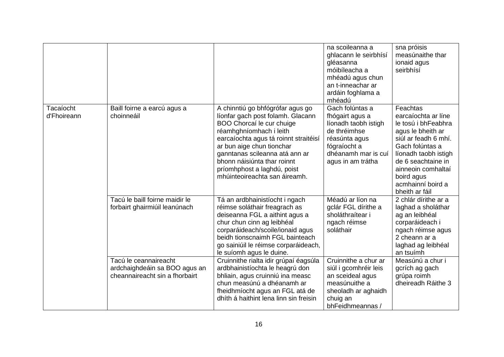|                          |                                                                                          |                                                                                                                                                                                                                                                                                                                                      | na scoileanna a<br>ghlacann le seirbhísí<br>gléasanna<br>móibíleacha a<br>mhéadú agus chun<br>an t-inneachar ar<br>ardáin foghlama a<br>mhéadú          | sna próisis<br>measúnaithe thar<br>ionaid agus<br>seirbhísí                                                                                                                                                                                     |
|--------------------------|------------------------------------------------------------------------------------------|--------------------------------------------------------------------------------------------------------------------------------------------------------------------------------------------------------------------------------------------------------------------------------------------------------------------------------------|---------------------------------------------------------------------------------------------------------------------------------------------------------|-------------------------------------------------------------------------------------------------------------------------------------------------------------------------------------------------------------------------------------------------|
| Tacaíocht<br>d'Fhoireann | Baill foirne a earcú agus a<br>choinneáil                                                | A chinntiú go bhfógrófar agus go<br>líonfar gach post folamh. Glacann<br>BOO Chorcaí le cur chuige<br>réamhghníomhach i leith<br>earcaíochta agus tá roinnt straitéisí<br>ar bun aige chun tionchar<br>ganntanas scileanna atá ann ar<br>bhonn náisiúnta thar roinnt<br>príomhphost a laghdú, poist<br>mhúinteoireachta san áireamh. | Gach folúntas a<br>fhógairt agus a<br>líonadh taobh istigh<br>de thréimhse<br>réasúnta agus<br>fógraíocht a<br>dhéanamh mar is cuí<br>agus in am trátha | Feachtas<br>earcaíochta ar líne<br>le tosú i bhFeabhra<br>agus le bheith ar<br>siúl ar feadh 6 mhí.<br>Gach folúntas a<br>líonadh taobh istigh<br>de 6 seachtaine in<br>ainneoin comhaltaí<br>boird agus<br>acmhainní boird a<br>bheith ar fáil |
|                          | Tacú le baill foirne maidir le<br>forbairt ghairmiúil leanúnach                          | Tá an ardbhainistíocht i ngach<br>réimse soláthair freagrach as<br>deiseanna FGL a aithint agus a<br>chur chun cinn ag leibhéal<br>corparáideach/scoile/ionaid agus<br>beidh tionscnaimh FGL bainteach<br>go sainiúil le réimse corparáideach,<br>le suíomh agus le duine.                                                           | Méadú ar líon na<br>gclár FGL dírithe a<br>sholáthraítear i<br>ngach réimse<br>soláthair                                                                | 2 chlár dírithe ar a<br>laghad a sholáthar<br>ag an leibhéal<br>corparáideach i<br>ngach réimse agus<br>2 cheann ar a<br>laghad ag leibhéal<br>an tsuímh                                                                                        |
|                          | Tacú le ceannaireacht<br>ardchaighdeáin sa BOO agus an<br>cheannaireacht sin a fhorbairt | Cruinnithe rialta idir grúpaí éagsúla<br>ardbhainistíochta le heagrú don<br>bhliain, agus cruinniú ina measc<br>chun measúnú a dhéanamh ar<br>fheidhmíocht agus an FGL atá de<br>dhíth á haithint lena linn sin freisin                                                                                                              | Cruinnithe a chur ar<br>siúl i gcomhréir leis<br>an sceideal agus<br>measúnuithe a<br>sheoladh ar aghaidh<br>chuig an<br>bhFeidhmeannas /               | Measúnú a chur i<br>gcrích ag gach<br>grúpa roimh<br>dheireadh Ráithe 3                                                                                                                                                                         |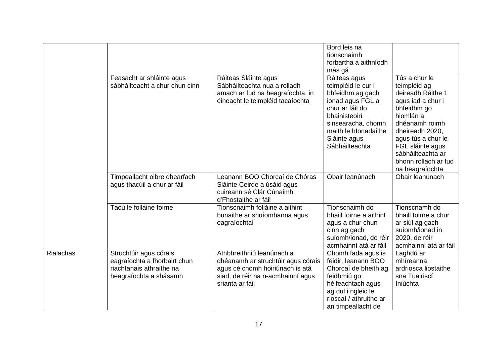|                  |                                                                                                              |                                                                                                                                                            | Bord leis na<br>tionscnaimh<br>forbartha a aithníodh<br>más gá                                                                                                                                 |                                                                                                                                                                                                                                                    |
|------------------|--------------------------------------------------------------------------------------------------------------|------------------------------------------------------------------------------------------------------------------------------------------------------------|------------------------------------------------------------------------------------------------------------------------------------------------------------------------------------------------|----------------------------------------------------------------------------------------------------------------------------------------------------------------------------------------------------------------------------------------------------|
|                  | Feasacht ar shláinte agus<br>sábháilteacht a chur chun cinn                                                  | Ráiteas Sláinte agus<br>Sábháilteachta nua a rolladh<br>amach ar fud na heagraíochta, in<br>éineacht le teimpléid tacaíochta                               | Ráiteas agus<br>teimpléid le cur i<br>bhfeidhm ag gach<br>ionad agus FGL a<br>chur ar fáil do<br>bhainisteoirí<br>sinsearacha, chomh<br>maith le hIonadaithe<br>Sláinte agus<br>Sábháilteachta | Tús a chur le<br>teimpléid ag<br>deireadh Ráithe 1<br>agus iad a chur i<br>bhfeidhm go<br>hiomlán a<br>dhéanamh roimh<br>dheireadh 2020,<br>agus tús a chur le<br>FGL sláinte agus<br>sábháilteachta ar<br>bhonn rollach ar fud<br>na heagraíochta |
|                  | Timpeallacht oibre dhearfach<br>agus thacúil a chur ar fáil                                                  | Leanann BOO Chorcaí de Chóras<br>Sláinte Ceirde a úsáid agus<br>cuireann sé Clár Cúnaimh<br>d'Fhostaithe ar fáil                                           | Obair leanúnach                                                                                                                                                                                | Obair leanúnach                                                                                                                                                                                                                                    |
|                  | Tacú le folláine foirne                                                                                      | Tionscnaimh folláine a aithint<br>bunaithe ar shuíomhanna agus<br>eagraíochtaí                                                                             | Tionscnaimh do<br>bhaill foirne a aithint<br>agus a chur chun<br>cinn ag gach<br>suíomh/ionad, de réir<br>acmhainní atá ar fáil                                                                | Tionscnamh do<br>bhaill foirne a chur<br>ar siúl ag gach<br>suíomh/ionad in<br>2020, de réir<br>acmhainní atá ar fáil                                                                                                                              |
| <b>Rialachas</b> | Struchtúir agus córais<br>eagraíochta a fhorbairt chun<br>riachtanais athraithe na<br>heagraíochta a shásamh | Athbhreithniú leanúnach a<br>dhéanamh ar struchtúir agus córais<br>agus cé chomh hoiriúnach is atá<br>siad, de réir na n-acmhainní agus<br>srianta ar fáil | Chomh fada agus is<br>féidir, leanann BOO<br>Chorcaí de bheith ag<br>feidhmiú go<br>héifeachtach agus<br>ag dul i ngleic le<br>rioscaí / athruithe ar<br>an timpeallacht de                    | Laghdú ar<br>mhíreanna<br>ardriosca liostaithe<br>sna Tuairiscí<br>Iniúchta                                                                                                                                                                        |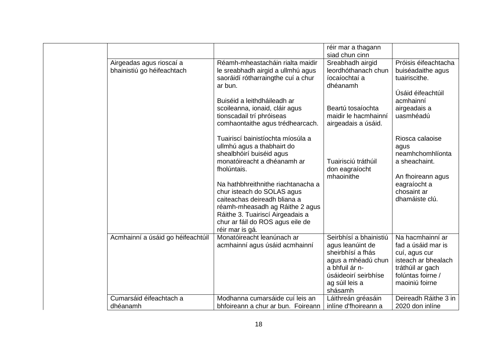|                                   |                                                                                                 | réir mar a thagann<br>siad chun cinn                             |                                                  |
|-----------------------------------|-------------------------------------------------------------------------------------------------|------------------------------------------------------------------|--------------------------------------------------|
| Airgeadas agus rioscaí a          | Réamh-mheastacháin rialta maidir                                                                | Sreabhadh airgid                                                 | Próisis éifeachtacha                             |
| bhainistiú go héifeachtach        | le sreabhadh airgid a ullmhú agus<br>saoráidí rótharraingthe cuí a chur<br>ar bun.              | leordhóthanach chun<br>íocaíochtaí a<br>dhéanamh                 | buiséadaithe agus<br>tuairiscithe.               |
|                                   | Buiséid a leithdháileadh ar                                                                     |                                                                  | Úsáid éifeachtúil<br>acmhainní                   |
|                                   | scoileanna, ionaid, cláir agus<br>tionscadail trí phróiseas<br>comhaontaithe agus trédhearcach. | Beartú tosaíochta<br>maidir le hacmhainní<br>airgeadais a úsáid. | airgeadais a<br>uasmhéadú                        |
|                                   |                                                                                                 |                                                                  |                                                  |
|                                   | Tuairiscí bainistíochta míosúla a<br>ullmhú agus a thabhairt do<br>shealbhóirí buiséid agus     |                                                                  | Riosca calaoise<br>agus<br>neamhchomhlíonta      |
|                                   | monatóireacht a dhéanamh ar<br>fholúntais.                                                      | Tuairisciú tráthúil<br>don eagraíocht                            | a sheachaint.                                    |
|                                   | Na hathbhreithnithe riachtanacha a<br>chur isteach do SOLAS agus                                | mhaoinithe                                                       | An fhoireann agus<br>eagraíocht a<br>chosaint ar |
|                                   | caiteachas deireadh bliana a<br>réamh-mheasadh ag Ráithe 2 agus                                 |                                                                  | dhamáiste clú.                                   |
|                                   | Ráithe 3. Tuairiscí Airgeadais a<br>chur ar fáil do ROS agus eile de                            |                                                                  |                                                  |
|                                   | réir mar is gá.                                                                                 |                                                                  |                                                  |
| Acmhainní a úsáid go héifeachtúil | Monatóireacht leanúnach ar<br>acmhainní agus úsáid acmhainní                                    | Seirbhísí a bhainistiú<br>agus leanúint de                       | Na hacmhainní ar<br>fad a úsáid mar is           |
|                                   |                                                                                                 | sheirbhísí a fhás                                                | cuí, agus cur                                    |
|                                   |                                                                                                 | agus a mhéadú chun                                               | isteach ar bhealach                              |
|                                   |                                                                                                 | a bhfuil ár n-                                                   | tráthúil ar gach                                 |
|                                   |                                                                                                 | úsáideoirí seirbhíse                                             | folúntas foirne /<br>maoiniú foirne              |
|                                   |                                                                                                 | ag súil leis a<br>shásamh                                        |                                                  |
| Cumarsáid éifeachtach a           | Modhanna cumarsáide cuí leis an                                                                 | Láithreán gréasáin                                               | Deireadh Ráithe 3 in                             |
| dhéanamh                          | bhfoireann a chur ar bun. Foireann                                                              | inlíne d'fhoireann a                                             | 2020 don inlíne                                  |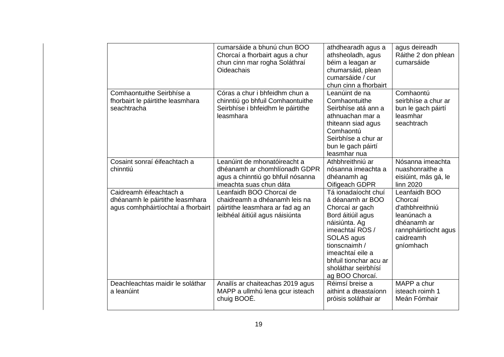|                                                                                                  | cumarsáide a bhunú chun BOO<br>Chorcaí a fhorbairt agus a chur<br>chun cinn mar rogha Soláthraí<br>Oideachais                    | athdhearadh agus a<br>athsheoladh, agus<br>béim a leagan ar<br>chumarsáid, plean<br>cumarsáide / cur<br>chun cinn a fhorbairt                                                                                                              | agus deireadh<br>Ráithe 2 don phlean<br>cumarsáide                                                                          |
|--------------------------------------------------------------------------------------------------|----------------------------------------------------------------------------------------------------------------------------------|--------------------------------------------------------------------------------------------------------------------------------------------------------------------------------------------------------------------------------------------|-----------------------------------------------------------------------------------------------------------------------------|
| Comhaontuithe Seirbhíse a<br>fhorbairt le páirtithe leasmhara<br>seachtracha                     | Córas a chur i bhfeidhm chun a<br>chinntiú go bhfuil Comhaontuithe<br>Seirbhíse i bhfeidhm le páirtithe<br>leasmhara             | Leanúint de na<br>Comhaontuithe<br>Seirbhíse atá ann a<br>athnuachan mar a<br>thiteann siad agus<br>Comhaontú<br>Seirbhíse a chur ar<br>bun le gach páirtí<br>leasmhar nua                                                                 | Comhaontú<br>seirbhíse a chur ar<br>bun le gach páirtí<br>leasmhar<br>seachtrach                                            |
| Cosaint sonraí éifeachtach a<br>chinntiú                                                         | Leanúint de mhonatóireacht a<br>dhéanamh ar chomhlíonadh GDPR<br>agus a chinntiú go bhfuil nósanna<br>imeachta suas chun dáta    | Athbhreithniú ar<br>nósanna imeachta a<br>dhéanamh ag<br>Oifigeach GDPR                                                                                                                                                                    | Nósanna imeachta<br>nuashonraithe a<br>eisiúint, más gá, le<br>linn 2020                                                    |
| Caidreamh éifeachtach a<br>dhéanamh le páirtithe leasmhara<br>agus comhpháirtíochtaí a fhorbairt | Leanfaidh BOO Chorcaí de<br>chaidreamh a dhéanamh leis na<br>páirtithe leasmhara ar fad ag an<br>leibhéal áitiúil agus náisiúnta | Tá ionadaíocht chuí<br>á déanamh ar BOO<br>Chorcaí ar gach<br>Bord áitiúil agus<br>náisiúnta. Ag<br>imeachtaí ROS /<br>SOLAS agus<br>tionscnaimh /<br>imeachtaí eile a<br>bhfuil tionchar acu ar<br>sholáthar seirbhísí<br>ag BOO Chorcaí. | Leanfaidh BOO<br>Chorcaí<br>d'athbhreithniú<br>leanúnach a<br>dhéanamh ar<br>rannpháirtíocht agus<br>caidreamh<br>gníomhach |
| Deachleachtas maidir le soláthar<br>a leanúint                                                   | Anailís ar chaiteachas 2019 agus<br>MAPP a ullmhú lena gcur isteach<br>chuig BOOÉ.                                               | Réimsí breise a<br>aithint a dteastaíonn<br>próisis soláthair ar                                                                                                                                                                           | MAPP a chur<br>isteach roimh 1<br>Meán Fómhair                                                                              |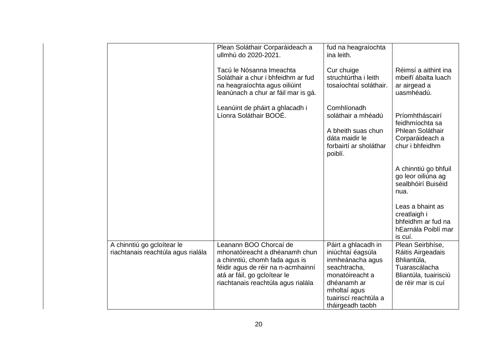|                                                                  | Plean Soláthair Corparáideach a<br>ullmhú do 2020-2021.                                                                                                                                                | fud na heagraíochta<br>ina leith.                                                                                                                                           |                                                                                                                      |
|------------------------------------------------------------------|--------------------------------------------------------------------------------------------------------------------------------------------------------------------------------------------------------|-----------------------------------------------------------------------------------------------------------------------------------------------------------------------------|----------------------------------------------------------------------------------------------------------------------|
|                                                                  | Tacú le Nósanna Imeachta<br>Soláthair a chur i bhfeidhm ar fud<br>na heagraíochta agus oiliúint<br>leanúnach a chur ar fáil mar is gá.                                                                 | Cur chuige<br>struchtúrtha i leith<br>tosaíochtaí soláthair.                                                                                                                | Réimsí a aithint ina<br>mbeifí ábalta luach<br>ar airgead a<br>uasmhéadú.                                            |
|                                                                  | Leanúint de pháirt a ghlacadh i<br>Líonra Soláthair BOOÉ.                                                                                                                                              | Comhlíonadh<br>soláthair a mhéadú                                                                                                                                           | Príomhtháscairí<br>feidhmíochta sa                                                                                   |
|                                                                  |                                                                                                                                                                                                        | A bheith suas chun<br>dáta maidir le<br>forbairtí ar sholáthar<br>poiblí.                                                                                                   | Phlean Soláthair<br>Corparáideach a<br>chur i bhfeidhm                                                               |
|                                                                  |                                                                                                                                                                                                        |                                                                                                                                                                             | A chinntiú go bhfuil<br>go leor oiliúna ag<br>sealbhóirí Buiséid<br>nua.                                             |
|                                                                  |                                                                                                                                                                                                        |                                                                                                                                                                             | Leas a bhaint as<br>creatlaigh i<br>bhfeidhm ar fud na<br>hEarnála Poiblí mar<br>is cuí.                             |
| A chinntiú go gcloítear le<br>riachtanais reachtúla agus rialála | Leanann BOO Chorcaí de<br>mhonatóireacht a dhéanamh chun<br>a chinntiú, chomh fada agus is<br>féidir agus de réir na n-acmhainní<br>atá ar fáil, go gcloítear le<br>riachtanais reachtúla agus rialála | Páirt a ghlacadh in<br>iniúchtaí éagsúla<br>inmheánacha agus<br>seachtracha,<br>monatóireacht a<br>dhéanamh ar<br>mholtaí agus<br>tuairiscí reachtúla a<br>tháirgeadh taobh | Plean Seirbhíse,<br>Ráitis Airgeadais<br>Bhliantúla,<br>Tuarascálacha<br>Bliantúla, tuairisciú<br>de réir mar is cuí |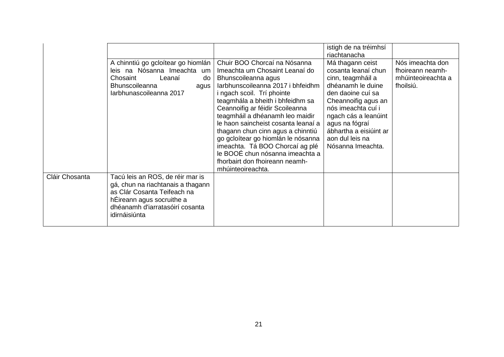|                |                                                                                                                                                                                       |                                                                                                                                                                                                                                                                                                                                                                                                                                                                                                                   | istigh de na tréimhsí<br>riachtanacha                                                                                                                                                                                                                           |                                                                         |
|----------------|---------------------------------------------------------------------------------------------------------------------------------------------------------------------------------------|-------------------------------------------------------------------------------------------------------------------------------------------------------------------------------------------------------------------------------------------------------------------------------------------------------------------------------------------------------------------------------------------------------------------------------------------------------------------------------------------------------------------|-----------------------------------------------------------------------------------------------------------------------------------------------------------------------------------------------------------------------------------------------------------------|-------------------------------------------------------------------------|
|                | A chinntiú go gcloítear go hiomlán<br>leis na Nósanna Imeachta um<br>Chosaint<br>Leanaí<br>do<br>Bhunscoileanna<br>agus<br>Iarbhunascoileanna 2017                                    | Chuir BOO Chorcaí na Nósanna<br>Imeachta um Chosaint Leanaí do<br>Bhunscoileanna agus<br>larbhunscoileanna 2017 i bhfeidhm<br>i ngach scoil. Trí phointe<br>teagmhála a bheith i bhfeidhm sa<br>Ceannoifig ar féidir Scoileanna<br>teagmháil a dhéanamh leo maidir<br>le haon saincheist cosanta leanaí a<br>thagann chun cinn agus a chinntiú<br>go gcloítear go hiomlán le nósanna<br>imeachta. Tá BOO Chorcaí ag plé<br>le BOOÉ chun nósanna imeachta a<br>fhorbairt don fhoireann neamh-<br>mhúinteoireachta. | Má thagann ceist<br>cosanta leanaí chun<br>cinn, teagmháil a<br>dhéanamh le duine<br>den daoine cuí sa<br>Cheannoifig agus an<br>nós imeachta cuí i<br>ngach cás a leanúint<br>agus na fógraí<br>ábhartha a eisiúint ar<br>aon dul leis na<br>Nósanna Imeachta. | Nós imeachta don<br>fhoireann neamh-<br>mhúinteoireachta a<br>fhoilsiú. |
| Cláir Chosanta | Tacú leis an ROS, de réir mar is<br>gá, chun na riachtanais a thagann<br>as Clár Cosanta Teifeach na<br>hÉireann agus socruithe a<br>dhéanamh d'iarratasóirí cosanta<br>idirnáisiúnta |                                                                                                                                                                                                                                                                                                                                                                                                                                                                                                                   |                                                                                                                                                                                                                                                                 |                                                                         |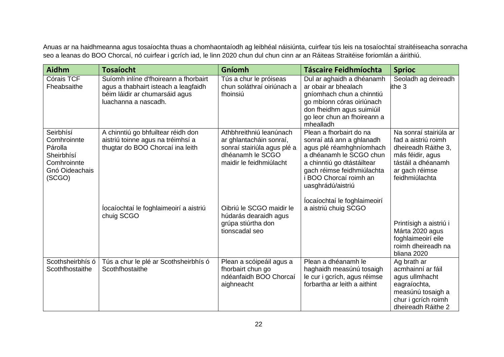Anuas ar na haidhmeanna agus tosaíochta thuas a chomhaontaíodh ag leibhéal náisiúnta, cuirfear tús leis na tosaíochtaí straitéiseacha sonracha seo a leanas do BOO Chorcaí, nó cuirfear i gcrích iad, le linn 2020 chun dul chun cinn ar an Ráiteas Straitéise foriomlán a áirithiú.

| Aidhm                                                                                        | <b>Tosaíocht</b>                                                                                                                        | Gníomh                                                                                                                           | <b>Táscaire Feidhmíochta</b>                                                                                                                                                                                           | <b>Sprioc</b>                                                                                                                                      |
|----------------------------------------------------------------------------------------------|-----------------------------------------------------------------------------------------------------------------------------------------|----------------------------------------------------------------------------------------------------------------------------------|------------------------------------------------------------------------------------------------------------------------------------------------------------------------------------------------------------------------|----------------------------------------------------------------------------------------------------------------------------------------------------|
| Córais TCF<br>Fheabsaithe                                                                    | Suíomh inlíne d'fhoireann a fhorbairt<br>agus a thabhairt isteach a leagfaidh<br>béim láidir ar chumarsáid agus<br>luachanna a nascadh. | Tús a chur le próiseas<br>chun soláthraí oiriúnach a<br>fhoinsiú                                                                 | Dul ar aghaidh a dhéanamh<br>ar obair ar bhealach<br>gníomhach chun a chinntiú<br>go mbíonn córas oiriúnach<br>don fheidhm agus suimiúil<br>go leor chun an fhoireann a<br>mhealladh                                   | Seoladh ag deireadh<br>ithe 3                                                                                                                      |
| Seirbhísí<br>Comhroinnte<br>Párolla<br>Sheirbhísí<br>Comhroinnte<br>Gnó Oideachais<br>(SCGO) | A chinntiú go bhfuiltear réidh don<br>aistriú toinne agus na tréimhsí a<br>thugtar do BOO Chorcaí ina leith                             | Athbhreithniú leanúnach<br>ar ghlantacháin sonraí,<br>sonraí stairiúla agus plé a<br>dhéanamh le SCGO<br>maidir le feidhmiúlacht | Plean a fhorbairt do na<br>sonraí atá ann a ghlanadh<br>agus plé réamhghníomhach<br>a dhéanamh le SCGO chun<br>a chinntiú go dtástáiltear<br>gach réimse feidhmiúlachta<br>i BOO Chorcaí roimh an<br>uasghrádú/aistriú | Na sonraí stairiúla ar<br>fad a aistriú roimh<br>dheireadh Ráithe 3,<br>más féidir, agus<br>tástáil a dhéanamh<br>ar gach réimse<br>feidhmiúlachta |
|                                                                                              | locaíochtaí le foghlaimeoirí a aistriú<br>chuig SCGO                                                                                    | Oibriú le SCGO maidir le<br>húdarás dearaidh agus<br>grúpa stiúrtha don<br>tionscadal seo                                        | locaíochtaí le foghlaimeoirí<br>a aistriú chuig SCGO                                                                                                                                                                   | Printísigh a aistriú i<br>Márta 2020 agus<br>foghlaimeoirí eile<br>roimh dheireadh na<br>bliana 2020                                               |
| Scothsheirbhís ó<br>Scothfhostaithe                                                          | Tús a chur le plé ar Scothsheirbhís ó<br>Scothfhostaithe                                                                                | Plean a scóipeáil agus a<br>fhorbairt chun go<br>ndéanfaidh BOO Chorcaí<br>aighneacht                                            | Plean a dhéanamh le<br>haghaidh measúnú tosaigh<br>le cur i gcrích, agus réimse<br>forbartha ar leith a aithint                                                                                                        | Ag brath ar<br>acmhainní ar fáil<br>agus ullmhacht<br>eagraíochta,<br>measúnú tosaigh a<br>chur i gcrích roimh<br>dheireadh Ráithe 2               |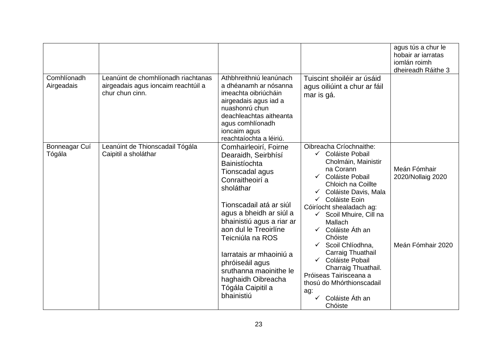|                           |                                                                                               |                                                                                                                                                                                                                                                                                                                                                                                   |                                                                                                                                                                                                                                                                                                                                                                                                                                                                                                             | agus tús a chur le<br>hobair ar iarratas<br>iomlán roimh<br>dheireadh Ráithe 3 |
|---------------------------|-----------------------------------------------------------------------------------------------|-----------------------------------------------------------------------------------------------------------------------------------------------------------------------------------------------------------------------------------------------------------------------------------------------------------------------------------------------------------------------------------|-------------------------------------------------------------------------------------------------------------------------------------------------------------------------------------------------------------------------------------------------------------------------------------------------------------------------------------------------------------------------------------------------------------------------------------------------------------------------------------------------------------|--------------------------------------------------------------------------------|
| Comhlíonadh<br>Airgeadais | Leanúint de chomhlíonadh riachtanas<br>airgeadais agus ioncaim reachtúil a<br>chur chun cinn. | Athbhreithniú leanúnach<br>a dhéanamh ar nósanna<br>imeachta oibriúcháin<br>airgeadais agus iad a<br>nuashonrú chun<br>deachleachtas aitheanta<br>agus comhlíonadh<br>ioncaim agus<br>reachtaíochta a léiriú.                                                                                                                                                                     | Tuiscint shoiléir ar úsáid<br>agus oiliúint a chur ar fáil<br>mar is gá.                                                                                                                                                                                                                                                                                                                                                                                                                                    |                                                                                |
| Bonneagar Cuí<br>Tógála   | Leanúint de Thionscadail Tógála<br>Caipitil a sholáthar                                       | Comhairleoirí, Foirne<br>Dearaidh, Seirbhísí<br>Bainistíochta<br>Tionscadal agus<br>Conraitheoirí a<br>sholáthar<br>Tionscadail atá ar siúl<br>agus a bheidh ar siúl a<br>bhainistiú agus a riar ar<br>aon dul le Treoirlíne<br>Teicniúla na ROS<br>larratais ar mhaoiniú a<br>phróiseáil agus<br>sruthanna maoinithe le<br>haghaidh Oibreacha<br>Tógála Caipitil a<br>bhainistiú | Oibreacha Críochnaithe:<br>← Coláiste Pobail<br>Cholmáin, Mainistir<br>na Corann<br>Coláiste Pobail<br>$\checkmark$<br>Chloich na Coillte<br>Coláiste Davis, Mala<br>Coláiste Eoin<br>Cóiríocht shealadach ag:<br>Scoil Mhuire, Cill na<br><b>Mallach</b><br>Coláiste Áth an<br>$\checkmark$<br>Chóiste<br>Scoil Chlíodhna,<br>$\checkmark$<br>Carraig Thuathail<br>Coláiste Pobail<br>Charraig Thuathail.<br>Próiseas Tairisceana a<br>thosú do Mhórthionscadail<br>ag:<br>Coláiste Áth an<br>✓<br>Chóiste | Meán Fómhair<br>2020/Nollaig 2020<br>Meán Fómhair 2020                         |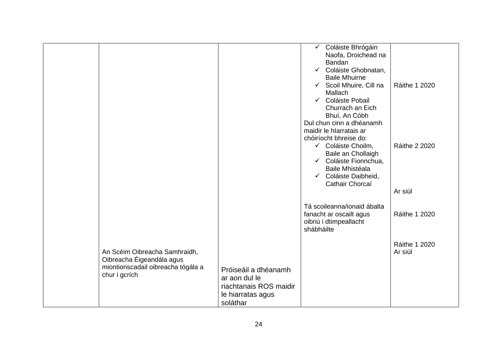|                                                                                                                   |                                                                                                  | Coláiste Bhrógáin<br>$\checkmark$<br>Naofa, Droichead na<br>Bandan<br>← Coláiste Ghobnatan,<br><b>Baile Mhuirne</b><br>Scoil Mhuire, Cill na<br>$\checkmark$<br>Mallach<br>Coláiste Pobail<br>$\checkmark$<br>Churrach an Eich<br>Bhuí, An Cóbh<br>Dul chun cinn a dhéanamh<br>maidir le hIarratais ar | <b>Ráithe 1 2020</b>            |
|-------------------------------------------------------------------------------------------------------------------|--------------------------------------------------------------------------------------------------|--------------------------------------------------------------------------------------------------------------------------------------------------------------------------------------------------------------------------------------------------------------------------------------------------------|---------------------------------|
|                                                                                                                   |                                                                                                  | chóiríocht bhreise do:<br>✓ Coláiste Choilm,<br>Baile an Chollaigh<br>← Coláiste Fionnchua,<br>Baile Mhistéala<br>← Coláiste Daibheid,<br>Cathair Chorcaí                                                                                                                                              | <b>Ráithe 2 2020</b><br>Ar siúl |
|                                                                                                                   |                                                                                                  | Tá scoileanna/ionaid ábalta<br>fanacht ar oscailt agus<br>oibriú i dtimpeallacht<br>shábháilte                                                                                                                                                                                                         | Ráithe 1 2020                   |
| An Scéim Oibreacha Samhraidh,<br>Oibreacha Éigeandála agus<br>miontionscadail oibreacha tógála a<br>chur i gcrích | Próiseáil a dhéanamh<br>ar aon dul le<br>riachtanais ROS maidir<br>le hiarratas agus<br>soláthar |                                                                                                                                                                                                                                                                                                        | <b>Ráithe 1 2020</b><br>Ar siúl |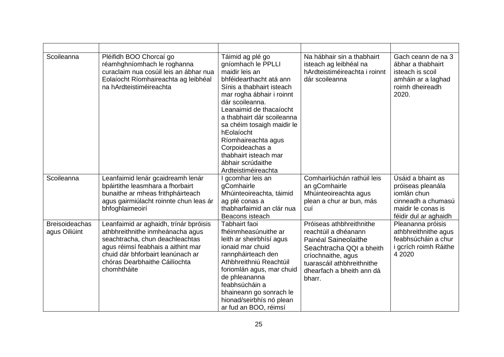| Scoileanna                             | Pléifidh BOO Chorcaí go<br>réamhghníomhach le roghanna<br>curaclaim nua cosúil leis an ábhar nua<br>Eolaíocht Ríomhaireachta ag leibhéal<br>na hArdteistiméireachta                                                                      | Táimid ag plé go<br>gníomhach le PPLLI<br>maidir leis an<br>bhféidearthacht atá ann<br>Sínis a thabhairt isteach<br>mar rogha ábhair i roinnt<br>dár scoileanna.<br>Leanaimid de thacaíocht<br>a thabhairt dár scoileanna<br>sa chéim tosaigh maidir le<br>hEolaíocht<br>Ríomhaireachta agus<br>Corpoideachas a<br>thabhairt isteach mar<br>ábhair scrúdaithe<br>Ardteistiméireachta | Na hábhair sin a thabhairt<br>isteach ag leibhéal na<br>hArdteistiméireachta i roinnt<br>dár scoileanna                                                                                         | Gach ceann de na 3<br>ábhar a thabhairt<br>isteach is scoil<br>amháin ar a laghad<br>roimh dheireadh<br>2020.              |
|----------------------------------------|------------------------------------------------------------------------------------------------------------------------------------------------------------------------------------------------------------------------------------------|--------------------------------------------------------------------------------------------------------------------------------------------------------------------------------------------------------------------------------------------------------------------------------------------------------------------------------------------------------------------------------------|-------------------------------------------------------------------------------------------------------------------------------------------------------------------------------------------------|----------------------------------------------------------------------------------------------------------------------------|
| Scoileanna                             | Leanfaimid lenár gcaidreamh lenár<br>bpáirtithe leasmhara a fhorbairt<br>bunaithe ar mheas frithpháirteach<br>agus gairmiúlacht roinnte chun leas ár<br>bhfoghlaimeoirí                                                                  | gcomhar leis an<br>gComhairle<br>Mhúinteoireachta, táimid<br>ag plé conas a<br>thabharfaimid an clár nua<br>Beacons isteach                                                                                                                                                                                                                                                          | Comhairliúchán rathúil leis<br>an gComhairle<br>Mhúinteoireachta agus<br>plean a chur ar bun, más<br>cuí                                                                                        | Úsáid a bhaint as<br>próiseas pleanála<br>iomlán chun<br>cinneadh a chumasú<br>maidir le conas is<br>féidir dul ar aghaidh |
| <b>Breisoideachas</b><br>agus Oiliúint | Leanfaimid ar aghaidh, trínár bpróisis<br>athbhreithnithe inmheánacha agus<br>seachtracha, chun deachleachtas<br>agus réimsí feabhais a aithint mar<br>chuid dár bhforbairt leanúnach ar<br>chóras Dearbhaithe Cáilíochta<br>chomhtháite | Tabhairt faoi<br>fhéinmheasúnuithe ar<br>leith ar sheirbhísí agus<br>ionaid mar chuid<br>rannpháirteach den<br>Athbhreithniú Reachtúil<br>foriomlán agus, mar chuid<br>de phleananna<br>feabhsúcháin a<br>bhaineann go sonrach le<br>hionad/seirbhís nó plean<br>ar fud an BOO, réimsí                                                                                               | Próiseas athbhreithnithe<br>reachtúil a dhéanann<br>Painéal Saineolaithe<br>Seachtracha QQI a bheith<br>críochnaithe, agus<br>tuarascáil athbhreithnithe<br>dhearfach a bheith ann dá<br>bharr. | Pleananna próisis<br>athbhreithnithe agus<br>feabhsúcháin a chur<br>i gcrích roimh Ráithe<br>4 2020                        |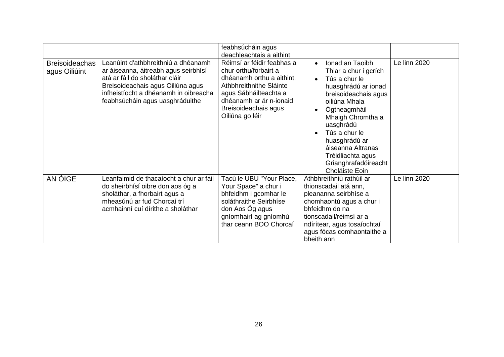|                                        |                                                                                                                                                                                                                                | feabhsúcháin agus<br>deachleachtais a aithint                                                                                                                                                              |                                                                                                                                                                                                                                                                                                   |              |
|----------------------------------------|--------------------------------------------------------------------------------------------------------------------------------------------------------------------------------------------------------------------------------|------------------------------------------------------------------------------------------------------------------------------------------------------------------------------------------------------------|---------------------------------------------------------------------------------------------------------------------------------------------------------------------------------------------------------------------------------------------------------------------------------------------------|--------------|
| <b>Breisoideachas</b><br>agus Oiliúint | Leanúint d'athbhreithniú a dhéanamh<br>ar áiseanna, áitreabh agus seirbhísí<br>atá ar fáil do sholáthar cláir<br>Breisoideachais agus Oiliúna agus<br>infheistíocht a dhéanamh in oibreacha<br>feabhsúcháin agus uasghráduithe | Réimsí ar féidir feabhas a<br>chur orthu/forbairt a<br>dhéanamh orthu a aithint.<br>Athbhreithnithe Sláinte<br>agus Sábháilteachta a<br>dhéanamh ar ár n-ionaid<br>Breisoideachais agus<br>Oiliúna go léir | Ionad an Taoibh<br>Thiar a chur i gcrích<br>Tús a chur le<br>huasghrádú ar ionad<br>breisoideachais agus<br>oiliúna Mhala<br>Ógtheagmháil<br>Mhaigh Chromtha a<br>uasghrádú<br>Tús a chur le<br>huasghrádú ar<br>áiseanna Altranas<br>Tréidliachta agus<br>Grianghrafadóireacht<br>Choláiste Eoin | Le linn 2020 |
| AN ÓIGE                                | Leanfaimid de thacaíocht a chur ar fáil<br>do sheirbhísí oibre don aos óg a<br>sholáthar, a fhorbairt agus a<br>mheasúnú ar fud Chorcaí trí<br>acmhainní cuí dírithe a sholáthar                                               | Tacú le UBU "Your Place,<br>Your Space" a chur i<br>bhfeidhm i gcomhar le<br>soláthraithe Seirbhíse<br>don Aos Óg agus<br>gníomhairí ag gníomhú<br>thar ceann BOO Chorcaí                                  | Athbhreithniú rathúil ar<br>thionscadail atá ann,<br>pleananna seirbhíse a<br>chomhaontú agus a chur i<br>bhfeidhm do na<br>tionscadail/réimsí ar a<br>ndírítear, agus tosaíochtaí<br>agus fócas comhaontaithe a<br>bheith ann                                                                    | Le linn 2020 |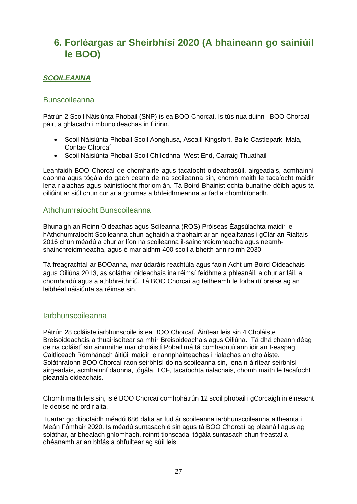# <span id="page-26-0"></span>**6. Forléargas ar Sheirbhísí 2020 (A bhaineann go sainiúil le BOO)**

#### <span id="page-26-1"></span>*SCOILEANNA*

#### <span id="page-26-2"></span>Bunscoileanna

Pátrún 2 Scoil Náisiúnta Phobail (SNP) is ea BOO Chorcaí. Is tús nua dúinn i BOO Chorcaí páirt a ghlacadh i mbunoideachas in Éirinn.

- Scoil Náisiúnta Phobail Scoil Aonghusa, Ascaill Kingsfort, Baile Castlepark, Mala, Contae Chorcaí
- Scoil Náisiúnta Phobail Scoil Chlíodhna, West End, Carraig Thuathail

Leanfaidh BOO Chorcaí de chomhairle agus tacaíocht oideachasúil, airgeadais, acmhainní daonna agus tógála do gach ceann de na scoileanna sin, chomh maith le tacaíocht maidir lena rialachas agus bainistíocht fhoriomlán. Tá Boird Bhainistíochta bunaithe dóibh agus tá oiliúint ar siúl chun cur ar a gcumas a bhfeidhmeanna ar fad a chomhlíonadh.

#### <span id="page-26-3"></span>Athchumraíocht Bunscoileanna

Bhunaigh an Roinn Oideachas agus Scileanna (ROS) Próiseas Éagsúlachta maidir le hAthchumraíocht Scoileanna chun aghaidh a thabhairt ar an ngealltanas i gClár an Rialtais 2016 chun méadú a chur ar líon na scoileanna il-sainchreidmheacha agus neamhshainchreidmheacha, agus é mar aidhm 400 scoil a bheith ann roimh 2030.

Tá freagrachtaí ar BOOanna, mar údaráis reachtúla agus faoin Acht um Boird Oideachais agus Oiliúna 2013, as soláthar oideachais ina réimsí feidhme a phleanáil, a chur ar fáil, a chomhordú agus a athbhreithniú. Tá BOO Chorcaí ag feitheamh le forbairtí breise ag an leibhéal náisiúnta sa réimse sin.

#### <span id="page-26-4"></span>**Iarbhunscoileanna**

Pátrún 28 coláiste iarbhunscoile is ea BOO Chorcaí. Áirítear leis sin 4 Choláiste Breisoideachais a thuairiscítear sa mhír Breisoideachais agus Oiliúna. Tá dhá cheann déag de na coláistí sin ainmnithe mar choláistí Pobail má tá comhaontú ann idir an t-easpag Caitliceach Rómhánach áitiúil maidir le rannpháirteachas i rialachas an choláiste. Soláthraíonn BOO Chorcaí raon seirbhísí do na scoileanna sin, lena n-áirítear seirbhísí airgeadais, acmhainní daonna, tógála, TCF, tacaíochta rialachais, chomh maith le tacaíocht pleanála oideachais.

Chomh maith leis sin, is é BOO Chorcaí comhphátrún 12 scoil phobail i gCorcaigh in éineacht le deoise nó ord rialta.

Tuartar go dtiocfaidh méadú 686 dalta ar fud ár scoileanna iarbhunscoileanna aitheanta i Meán Fómhair 2020. Is méadú suntasach é sin agus tá BOO Chorcaí ag pleanáil agus ag soláthar, ar bhealach gníomhach, roinnt tionscadal tógála suntasach chun freastal a dhéanamh ar an bhfás a bhfuiltear ag súil leis.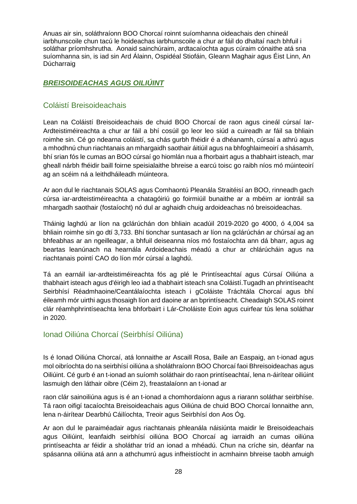Anuas air sin, soláthraíonn BOO Chorcaí roinnt suíomhanna oideachais den chineál iarbhunscoile chun tacú le hoideachas iarbhunscoile a chur ar fáil do dhaltaí nach bhfuil i soláthar príomhshrutha. Aonaid sainchúraim, ardtacaíochta agus cúraim cónaithe atá sna suíomhanna sin, is iad sin Ard Álainn, Ospidéal Stiofáin, Gleann Maghair agus Éist Linn, An Dúcharraig

#### <span id="page-27-0"></span>*BREISOIDEACHAS AGUS OILIÚINT*

#### <span id="page-27-1"></span>Coláistí Breisoideachais

Lean na Coláistí Breisoideachais de chuid BOO Chorcaí de raon agus cineál cúrsaí Iar-Ardteistiméireachta a chur ar fáil a bhí cosúil go leor leo siúd a cuireadh ar fáil sa bhliain roimhe sin. Cé go ndearna coláistí, sa chás gurbh fhéidir é a dhéanamh, cúrsaí a athrú agus a mhodhnú chun riachtanais an mhargaidh saothair áitiúil agus na bhfoghlaimeoirí a shásamh, bhí srian fós le cumas an BOO cúrsaí go hiomlán nua a fhorbairt agus a thabhairt isteach, mar gheall nárbh fhéidir baill foirne speisialaithe bhreise a earcú toisc go raibh níos mó múinteoirí ag an scéim ná a leithdháileadh múinteora.

Ar aon dul le riachtanais SOLAS agus Comhaontú Pleanála Straitéisí an BOO, rinneadh gach cúrsa iar-ardteistiméireachta a chatagóiriú go foirmiúil bunaithe ar a mbéim ar iontráil sa mhargadh saothair (fostaíocht) nó dul ar aghaidh chuig ardoideachas nó breisoideachas.

Tháinig laghdú ar líon na gclárúchán don bhliain acadúil 2019-2020 go 4000, ó 4,004 sa bhliain roimhe sin go dtí 3,733. Bhí tionchar suntasach ar líon na gclárúchán ar chúrsaí ag an bhfeabhas ar an ngeilleagar, a bhfuil deiseanna níos mó fostaíochta ann dá bharr, agus ag beartas leanúnach na hearnála Ardoideachais méadú a chur ar chlárúcháin agus na riachtanais pointí CAO do líon mór cúrsaí a laghdú.

Tá an earnáil iar-ardteistiméireachta fós ag plé le Printíseachtaí agus Cúrsaí Oiliúna a thabhairt isteach agus d'éirigh leo iad a thabhairt isteach sna Coláistí.Tugadh an phrintíseacht Seirbhísí Réadmhaoine/Ceantálaíochta isteach i gColáiste Tráchtála Chorcaí agus bhí éileamh mór uirthi agus thosaigh líon ard daoine ar an bprintíseacht. Cheadaigh SOLAS roinnt clár réamhphrintíseachta lena bhforbairt i Lár-Choláiste Eoin agus cuirfear tús lena soláthar in 2020.

#### <span id="page-27-2"></span>Ionad Oiliúna Chorcaí (Seirbhísí Oiliúna)

Is é Ionad Oiliúna Chorcaí, atá lonnaithe ar Ascaill Rosa, Baile an Easpaig, an t-ionad agus mol oibríochta do na seirbhísí oiliúna a sholáthraíonn BOO Chorcaí faoi Bhreisoideachas agus Oiliúint. Cé gurb é an t-ionad an suíomh soláthair do raon printíseachtaí, lena n-áirítear oiliúint lasmuigh den láthair oibre (Céim 2), freastalaíonn an t-ionad ar

raon clár sainoiliúna agus is é an t-ionad a chomhordaíonn agus a riarann soláthar seirbhíse. Tá raon oifigí tacaíochta Breisoideachais agus Oiliúna de chuid BOO Chorcaí lonnaithe ann, lena n-áirítear Dearbhú Cáilíochta, Treoir agus Seirbhísí don Aos Óg.

Ar aon dul le paraiméadair agus riachtanais phleanála náisiúnta maidir le Breisoideachais agus Oiliúint, leanfaidh seirbhísí oiliúna BOO Chorcaí ag iarraidh an cumas oiliúna printíseachta ar féidir a sholáthar tríd an ionad a mhéadú. Chun na críche sin, déanfar na spásanna oiliúna atá ann a athchumrú agus infheistíocht in acmhainn bhreise taobh amuigh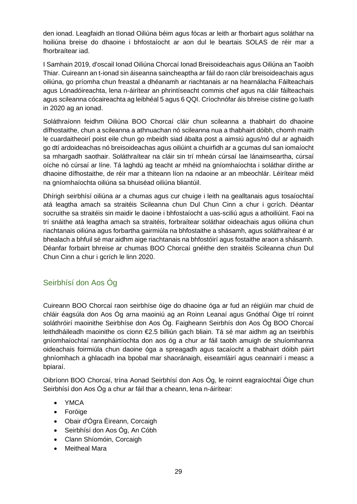den ionad. Leagfaidh an tIonad Oiliúna béim agus fócas ar leith ar fhorbairt agus soláthar na hoiliúna breise do dhaoine i bhfostaíocht ar aon dul le beartais SOLAS de réir mar a fhorbraítear iad.

I Samhain 2019, d'oscail Ionad Oiliúna Chorcaí Ionad Breisoideachais agus Oiliúna an Taoibh Thiar. Cuireann an t-ionad sin áiseanna saincheaptha ar fáil do raon clár breisoideachais agus oiliúna, go príomha chun freastal a dhéanamh ar riachtanais ar na hearnálacha Fáilteachais agus Lónadóireachta, lena n-áirítear an phrintíseacht commis chef agus na cláir fáilteachais agus scileanna cócaireachta ag leibhéal 5 agus 6 QQI. Críochnófar áis bhreise cistine go luath in 2020 ag an ionad.

Soláthraíonn feidhm Oiliúna BOO Chorcaí cláir chun scileanna a thabhairt do dhaoine dífhostaithe, chun a scileanna a athnuachan nó scileanna nua a thabhairt dóibh, chomh maith le cuardaitheoirí poist eile chun go mbeidh siad ábalta post a aimsiú agus/nó dul ar aghaidh go dtí ardoideachas nó breisoideachas agus oiliúint a chuirfidh ar a gcumas dul san iomaíocht sa mhargadh saothair. Soláthraítear na cláir sin trí mheán cúrsaí lae lánaimseartha, cúrsaí oíche nó cúrsaí ar líne. Tá laghdú ag teacht ar mhéid na gníomhaíochta i soláthar dírithe ar dhaoine dífhostaithe, de réir mar a thiteann líon na ndaoine ar an mbeochlár. Léirítear méid na gníomhaíochta oiliúna sa bhuiséad oiliúna bliantúil.

Dhírigh seirbhísí oiliúna ar a chumas agus cur chuige i leith na gealltanais agus tosaíochtaí atá leagtha amach sa straitéis Scileanna chun Dul Chun Cinn a chur i gcrích. Déantar socruithe sa straitéis sin maidir le daoine i bhfostaíocht a uas-sciliú agus a athoiliúint. Faoi na trí snáithe atá leagtha amach sa straitéis, forbraítear soláthar oideachais agus oiliúna chun riachtanais oiliúna agus forbartha gairmiúla na bhfostaithe a shásamh, agus soláthraítear é ar bhealach a bhfuil sé mar aidhm aige riachtanais na bhfostóirí agus fostaithe araon a shásamh. Déanfar forbairt bhreise ar chumas BOO Chorcaí gnéithe den straitéis Scileanna chun Dul Chun Cinn a chur i gcrích le linn 2020.

### <span id="page-28-0"></span>Seirbhísí don Aos Óg

Cuireann BOO Chorcaí raon seirbhíse óige do dhaoine óga ar fud an réigiúin mar chuid de chláir éagsúla don Aos Óg arna maoiniú ag an Roinn Leanaí agus Gnóthaí Óige trí roinnt soláthróirí maoinithe Seirbhíse don Aos Óg. Faigheann Seirbhís don Aos Óg BOO Chorcaí leithdháileadh maoinithe os cionn €2.5 billiún gach bliain. Tá sé mar aidhm ag an tseirbhís gníomhaíochtaí rannpháirtíochta don aos óg a chur ar fáil taobh amuigh de shuíomhanna oideachais foirmiúla chun daoine óga a spreagadh agus tacaíocht a thabhairt dóibh páirt ghníomhach a ghlacadh ina bpobal mar shaoránaigh, eiseamláirí agus ceannairí i measc a bpiaraí.

Oibríonn BOO Chorcaí, trína Aonad Seirbhísí don Aos Óg, le roinnt eagraíochtaí Óige chun Seirbhísí don Aos Óg a chur ar fáil thar a cheann, lena n-áirítear:

- YMCA
- Foróige
- Obair d'Ógra Éireann, Corcaigh
- Seirbhísí don Aos Óg, An Cóbh
- Clann Shíomóin, Corcaigh
- **Meitheal Mara**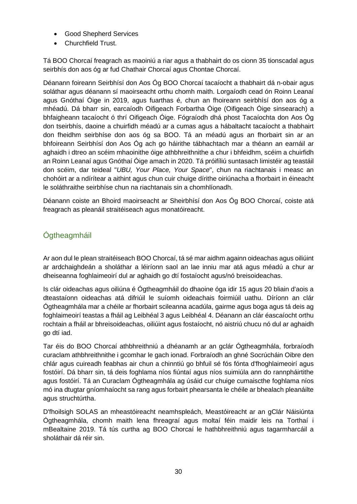- Good Shepherd Services
- Churchfield Trust.

Tá BOO Chorcaí freagrach as maoiniú a riar agus a thabhairt do os cionn 35 tionscadal agus seirbhís don aos óg ar fud Chathair Chorcaí agus Chontae Chorcaí.

Déanann foireann Seirbhísí don Aos Óg BOO Chorcaí tacaíocht a thabhairt dá n-obair agus soláthar agus déanann sí maoirseacht orthu chomh maith. Lorgaíodh cead ón Roinn Leanaí agus Gnóthaí Óige in 2019, agus fuarthas é, chun an fhoireann seirbhísí don aos óg a mhéadú. Dá bharr sin, earcaíodh Oifigeach Forbartha Óige (Oifigeach Óige sinsearach) a bhfaigheann tacaíocht ó thrí Oifigeach Óige. Fógraíodh dhá phost Tacaíochta don Aos Óg don tseirbhís, daoine a chuirfidh méadú ar a cumas agus a hábaltacht tacaíocht a thabhairt don fheidhm seirbhíse don aos óg sa BOO. Tá an méadú agus an fhorbairt sin ar an bhfoireann Seirbhísí don Aos Óg ach go háirithe tábhachtach mar a théann an earnáil ar aghaidh i dtreo an scéim mhaoinithe óige athbhreithnithe a chur i bhfeidhm, scéim a chuirfidh an Roinn Leanaí agus Gnóthaí Óige amach in 2020. Tá próifíliú suntasach limistéir ag teastáil don scéim, dar teideal "*UBU, Your Place, Your Space*", chun na riachtanais i measc an chohóirt ar a ndírítear a aithint agus chun cuir chuige dírithe oiriúnacha a fhorbairt in éineacht le soláthraithe seirbhíse chun na riachtanais sin a chomhlíonadh.

Déanann coiste an Bhoird maoirseacht ar Sheirbhísí don Aos Óg BOO Chorcaí, coiste atá freagrach as pleanáil straitéiseach agus monatóireacht.

### <span id="page-29-0"></span>Ógtheagmháil

Ar aon dul le plean straitéiseach BOO Chorcaí, tá sé mar aidhm againn oideachas agus oiliúint ar ardchaighdeán a sholáthar a léiríonn saol an lae inniu mar atá agus méadú a chur ar dheiseanna foghlaimeoirí dul ar aghaidh go dtí fostaíocht agus/nó breisoideachas.

Is clár oideachas agus oiliúna é Ógtheagmháil do dhaoine óga idir 15 agus 20 bliain d'aois a dteastaíonn oideachas atá difriúil le suíomh oideachais foirmiúil uathu. Díríonn an clár Ógtheagmhála mar a chéile ar fhorbairt scileanna acadúla, gairme agus boga agus tá deis ag foghlaimeoirí teastas a fháil ag Leibhéal 3 agus Leibhéal 4. Déanann an clár éascaíocht orthu rochtain a fháil ar bhreisoideachas, oiliúint agus fostaíocht, nó aistriú chucu nó dul ar aghaidh go dtí iad.

Tar éis do BOO Chorcaí athbhreithniú a dhéanamh ar an gclár Ógtheagmhála, forbraíodh curaclam athbhreithnithe i gcomhar le gach ionad. Forbraíodh an ghné Socrúcháin Oibre den chlár agus cuireadh feabhas air chun a chinntiú go bhfuil sé fós fónta d'fhoghlaimeoirí agus fostóirí. Dá bharr sin, tá deis foghlama níos fiúntaí agus níos suimiúla ann do rannpháirtithe agus fostóirí. Tá an Curaclam Ógtheagmhála ag úsáid cur chuige cumaiscthe foghlama níos mó ina dtugtar gníomhaíocht sa rang agus forbairt phearsanta le chéile ar bhealach pleanáilte agus struchtúrtha.

D'fhoilsigh SOLAS an mheastóireacht neamhspleách, Meastóireacht ar an gClár Náisiúnta Ógtheagmhála, chomh maith lena fhreagraí agus moltaí féin maidir leis na Torthaí i mBealtaine 2019. Tá tús curtha ag BOO Chorcaí le hathbhreithniú agus tagarmharcáil a sholáthair dá réir sin.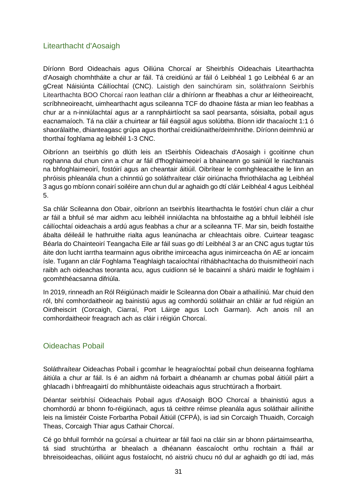#### <span id="page-30-0"></span>Litearthacht d'Aosaigh

Díríonn Bord Oideachais agus Oiliúna Chorcaí ar Sheirbhís Oideachais Litearthachta d'Aosaigh chomhtháite a chur ar fáil. Tá creidiúnú ar fáil ó Leibhéal 1 go Leibhéal 6 ar an gCreat Náisiúnta Cáilíochtaí (CNC). Laistigh den sainchúram sin, soláthraíonn Seirbhís Litearthachta BOO Chorcaí raon leathan clár a dhíríonn ar fheabhas a chur ar léitheoireacht, scríbhneoireacht, uimhearthacht agus scileanna TCF do dhaoine fásta ar mian leo feabhas a chur ar a n-inniúlachtaí agus ar a rannpháirtíocht sa saol pearsanta, sóisialta, pobail agus eacnamaíoch. Tá na cláir a chuirtear ar fáil éagsúil agus solúbtha. Bíonn idir thacaíocht 1:1 ó shaorálaithe, dhianteagasc grúpa agus thorthaí creidiúnaithe/deimhnithe. Díríonn deimhniú ar thorthaí foghlama ag leibhéil 1-3 CNC.

Oibríonn an tseirbhís go dlúth leis an tSeirbhís Oideachais d'Aosaigh i gcoitinne chun roghanna dul chun cinn a chur ar fáil d'fhoghlaimeoirí a bhaineann go sainiúil le riachtanais na bhfoghlaimeoirí, fostóirí agus an cheantair áitiúil. Oibrítear le comhghleacaithe le linn an phróisis phleanála chun a chinntiú go soláthraítear cláir oiriúnacha fhriothálacha ag Leibhéal 3 agus go mbíonn conairí soiléire ann chun dul ar aghaidh go dtí cláir Leibhéal 4 agus Leibhéal 5.

Sa chlár Scileanna don Obair, oibríonn an tseirbhís litearthachta le fostóirí chun cláir a chur ar fáil a bhfuil sé mar aidhm acu leibhéil inniúlachta na bhfostaithe ag a bhfuil leibhéil ísle cáilíochtaí oideachais a ardú agus feabhas a chur ar a scileanna TF. Mar sin, beidh fostaithe ábalta déileáil le hathruithe rialta agus leanúnacha ar chleachtais oibre. Cuirtear teagasc Béarla do Chainteoirí Teangacha Eile ar fáil suas go dtí Leibhéal 3 ar an CNC agus tugtar tús áite don lucht iarrtha tearmainn agus oibrithe imirceacha agus inimirceacha ón AE ar ioncaim ísle. Tugann an clár Foghlama Teaghlaigh tacaíochtaí ríthábhachtacha do thuismitheoirí nach raibh ach oideachas teoranta acu, agus cuidíonn sé le bacainní a shárú maidir le foghlaim i gcomhthéacsanna difriúla.

In 2019, rinneadh an Ról Réigiúnach maidir le Scileanna don Obair a athailíniú. Mar chuid den ról, bhí comhordaitheoir ag bainistiú agus ag comhordú soláthair an chláir ar fud réigiún an Oirdheiscirt (Corcaigh, Ciarraí, Port Láirge agus Loch Garman). Ach anois níl an comhordaitheoir freagrach ach as cláir i réigiún Chorcaí.

#### <span id="page-30-1"></span>Oideachas Pobail

Soláthraítear Oideachas Pobail i gcomhar le heagraíochtaí pobail chun deiseanna foghlama áitiúla a chur ar fáil. Is é an aidhm ná forbairt a dhéanamh ar chumas pobal áitiúil páirt a ghlacadh i bhfreagairtí do mhíbhuntáiste oideachais agus struchtúrach a fhorbairt.

Déantar seirbhísí Oideachais Pobail agus d'Aosaigh BOO Chorcaí a bhainistiú agus a chomhordú ar bhonn fo-réigiúnach, agus tá ceithre réimse pleanála agus soláthair ailínithe leis na limistéir Coiste Forbartha Pobail Áitiúil (CFPÁ), is iad sin Corcaigh Thuaidh, Corcaigh Theas, Corcaigh Thiar agus Cathair Chorcaí.

Cé go bhfuil formhór na gcúrsaí a chuirtear ar fáil faoi na cláir sin ar bhonn páirtaimseartha, tá siad struchtúrtha ar bhealach a dhéanann éascaíocht orthu rochtain a fháil ar bhreisoideachas, oiliúint agus fostaíocht, nó aistriú chucu nó dul ar aghaidh go dtí iad, más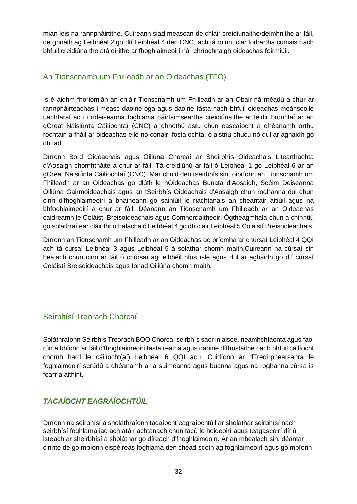mian leis na rannpháirtithe. Cuireann siad meascán de chláir creidiúnaithe/deimhnithe ar fáil, de ghnáth ag Leibhéal 2 go dtí Leibhéal 4 den CNC, ach tá roinnt clár forbartha cumais nach bhfuil creidiúnaithe atá dírithe ar fhoghlaimeoirí nár chríochnaigh oideachas foirmiúil.

#### <span id="page-31-0"></span>An Tionscnamh um Fhilleadh ar an Oideachas (TFO)

Is é aidhm fhoriomlán an chláir Tionscnamh um Fhilleadh ar an Obair ná méadú a chur ar rannpháirteachas i measc daoine óga agus daoine fásta nach bhfuil oideachas meánscoile uachtaraí acu i ndeiseanna foghlama páirtaimseartha creidiúnaithe ar féidir bronntaí ar an gCreat Náisiúnta Cáilíochtaí (CNC) a ghnóthú astu chun éascaíocht a dhéanamh orthu rochtain a fháil ar oideachas eile nó conairí fostaíochta, ó aistriú chucu nó dul ar aghaidh go dtí iad.

Díríonn Bord Oideachais agus Oiliúna Chorcaí ar Sheirbhís Oideachais Litearthachta d'Aosaigh chomhtháite a chur ar fáil. Tá creidiúnú ar fáil ó Leibhéal 1 go Leibhéal 6 ar an gCreat Náisiúnta Cáilíochtaí (CNC). Mar chuid den tseirbhís sin, oibríonn an Tionscnamh um Fhilleadh ar an Oideachas go dlúth le hOideachas Bunata d'Aosaigh, Scéim Deiseanna Oiliúna Gairmoideachais agus an tSeirbhís Oideachais d'Aosaigh chun roghanna dul chun cinn d'fhoghlaimeoirí a bhaineann go sainiúil le riachtanais an cheantair áitiúil agus na bhfoghlaimeoirí a chur ar fáil. Déanann an Tionscnamh um Fhilleadh ar an Oideachas caidreamh le Coláistí Breisoideachais agus Comhordaitheoirí Ógtheagmhála chun a chinntiú go soláthraítear cláir fhriothálacha ó Leibhéal 4 go dtí cláir Leibhéal 5 Coláistí Breisoideachais.

Díríonn an Tionscnamh um Fhilleadh ar an Oideachas go príomhá ar chúrsaí Leibhéal 4 QQI ach tá cúrsaí Leibhéal 3 agus Leibhéal 5 á soláthar chomh maith.Cuireann na cúrsaí sin bealach chun cinn ar fáil ó chúrsaí ag leibhéil níos ísle agus dul ar aghaidh go dtí cúrsaí Coláistí Breisoideachais agus Ionad Oiliúna chomh maith.

### <span id="page-31-1"></span>Seirbhísí Treorach Chorcaí

Soláthraíonn Seirbhís Treorach BOO Chorcaí seirbhís saor in aisce, neamhchlaonta agus faoi rún a bhíonn ar fáil d'fhoghlaimeoirí fásta reatha agus daoine dífhostaithe nach bhfuil cáilíocht chomh hard le cáilíocht(aí) Leibhéal 6 QQI acu. Cuidíonn ár dTreoirphearsanra le foghlaimeoirí scrúdú a dhéanamh ar a suimeanna agus buanna agus na roghanna cúrsa is fearr a aithint.

### <span id="page-31-2"></span>*TACAÍOCHT EAGRAÍOCHTÚIL*

Díríonn na seirbhísí a sholáthraíonn tacaíocht eagraíochtúil ar sholáthar seirbhísí nach seirbhísí foghlama iad ach atá riachtanach chun tacú le hoideoirí agus teagascóirí díriú isteach ar sheirbhísí a sholáthar go díreach d'fhoghlaimeoirí. Ar an mbealach sin, déantar cinnte de go mbíonn eispéireas foghlama den chéad scoth ag foghlaimeoirí agus go mbíonn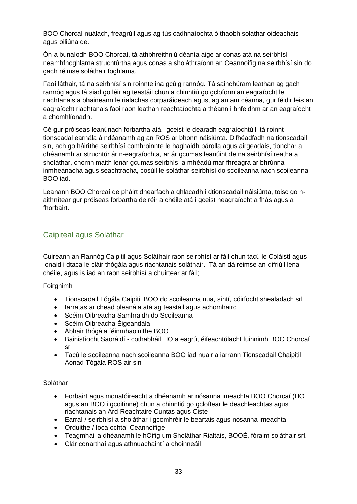BOO Chorcaí nuálach, freagrúil agus ag tús cadhnaíochta ó thaobh soláthar oideachais agus oiliúna de.

Ón a bunaíodh BOO Chorcaí, tá athbhreithniú déanta aige ar conas atá na seirbhísí neamhfhoghlama struchtúrtha agus conas a sholáthraíonn an Ceannoifig na seirbhísí sin do gach réimse soláthair foghlama.

Faoi láthair, tá na seirbhísí sin roinnte ina gcúig rannóg. Tá sainchúram leathan ag gach rannóg agus tá siad go léir ag teastáil chun a chinntiú go gcloíonn an eagraíocht le riachtanais a bhaineann le rialachas corparáideach agus, ag an am céanna, gur féidir leis an eagraíocht riachtanais faoi raon leathan reachtaíochta a théann i bhfeidhm ar an eagraíocht a chomhlíonadh.

Cé gur próiseas leanúnach forbartha atá i gceist le dearadh eagraíochtúil, tá roinnt tionscadal earnála á ndéanamh ag an ROS ar bhonn náisiúnta. D'fhéadfadh na tionscadail sin, ach go háirithe seirbhísí comhroinnte le haghaidh párolla agus airgeadais, tionchar a dhéanamh ar struchtúr ár n-eagraíochta, ar ár gcumas leanúint de na seirbhísí reatha a sholáthar, chomh maith lenár gcumas seirbhísí a mhéadú mar fhreagra ar bhrúnna inmheánacha agus seachtracha, cosúil le soláthar seirbhísí do scoileanna nach scoileanna BOO iad.

Leanann BOO Chorcaí de pháirt dhearfach a ghlacadh i dtionscadail náisiúnta, toisc go naithnítear gur próiseas forbartha de réir a chéile atá i gceist heagraíocht a fhás agus a fhorbairt.

#### <span id="page-32-0"></span>Caipiteal agus Soláthar

Cuireann an Rannóg Caipitil agus Soláthair raon seirbhísí ar fáil chun tacú le Coláistí agus Ionaid i dtaca le cláir thógála agus riachtanais soláthair. Tá an dá réimse an-difriúil lena chéile, agus is iad an raon seirbhísí a chuirtear ar fáil;

Foirgnimh

- Tionscadail Tógála Caipitil BOO do scoileanna nua, síntí, cóiríocht shealadach srl
- Iarratas ar chead pleanála atá ag teastáil agus achomhairc
- Scéim Oibreacha Samhraidh do Scoileanna
- Scéim Oibreacha Éigeandála
- Ábhair thógála féinmhaoinithe BOO
- Bainistíocht Saoráidí cothabháil HO a eagrú, éifeachtúlacht fuinnimh BOO Chorcaí srl
- Tacú le scoileanna nach scoileanna BOO iad nuair a iarrann Tionscadail Chaipitil Aonad Tógála ROS air sin

#### Soláthar

- Forbairt agus monatóireacht a dhéanamh ar nósanna imeachta BOO Chorcaí (HO agus an BOO i gcoitinne) chun a chinntiú go gcloítear le deachleachtas agus riachtanais an Ard-Reachtaire Cuntas agus Ciste
- Earraí / seirbhísí a sholáthar i gcomhréir le beartais agus nósanna imeachta
- Orduithe / íocaíochtaí Ceannoifige
- Teagmháil a dhéanamh le hOifig um Sholáthar Rialtais, BOOÉ, fóraim soláthair srl.
- Clár conarthaí agus athnuachaintí a choinneáil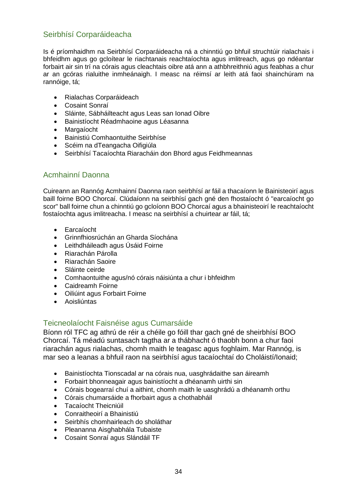### <span id="page-33-0"></span>Seirbhísí Corparáideacha

Is é príomhaidhm na Seirbhísí Corparáideacha ná a chinntiú go bhfuil struchtúir rialachais i bhfeidhm agus go gcloítear le riachtanais reachtaíochta agus imlitreach, agus go ndéantar forbairt air sin trí na córais agus cleachtais oibre atá ann a athbhreithniú agus feabhas a chur ar an gcóras rialuithe inmheánaigh. I measc na réimsí ar leith atá faoi shainchúram na rannóige, tá;

- Rialachas Corparáideach
- Cosaint Sonraí
- Sláinte, Sábháilteacht agus Leas san Ionad Oibre
- Bainistíocht Réadmhaoine agus Léasanna
- Margaíocht
- Bainistiú Comhaontuithe Seirbhíse
- Scéim na dTeangacha Oifigiúla
- Seirbhísí Tacaíochta Riaracháin don Bhord agus Feidhmeannas

#### <span id="page-33-1"></span>Acmhainní Daonna

Cuireann an Rannóg Acmhainní Daonna raon seirbhísí ar fáil a thacaíonn le Bainisteoirí agus baill foirne BOO Chorcaí. Clúdaíonn na seirbhísí gach gné den fhostaíocht ó "earcaíocht go scor" ball foirne chun a chinntiú go gcloíonn BOO Chorcaí agus a bhainisteoirí le reachtaíocht fostaíochta agus imlitreacha. I measc na seirbhísí a chuirtear ar fáil, tá;

- Earcaíocht
- Grinnfhiosrúchán an Gharda Síochána
- Leithdháileadh agus Úsáid Foirne
- Riarachán Párolla
- Riarachán Saoire
- Sláinte ceirde
- Comhaontuithe agus/nó córais náisiúnta a chur i bhfeidhm
- Caidreamh Foirne
- Oiliúint agus Forbairt Foirne
- Aoisliúntas

#### <span id="page-33-2"></span>Teicneolaíocht Faisnéise agus Cumarsáide

Bíonn ról TFC ag athrú de réir a chéile go fóill thar gach gné de sheirbhísí BOO Chorcaí. Tá méadú suntasach tagtha ar a thábhacht ó thaobh bonn a chur faoi riarachán agus rialachas, chomh maith le teagasc agus foghlaim. Mar Rannóg, is mar seo a leanas a bhfuil raon na seirbhísí agus tacaíochtaí do Choláistí/Ionaid;

- Bainistíochta Tionscadal ar na córais nua, uasghrádaithe san áireamh
- Forbairt bhonneagair agus bainistíocht a dhéanamh uirthi sin
- Córais bogearraí chuí a aithint, chomh maith le uasghrádú a dhéanamh orthu
- Córais chumarsáide a fhorbairt agus a chothabháil
- Tacaíocht Theicniúil
- Conraitheoirí a Bhainistiú
- Seirbhís chomhairleach do sholáthar
- Pleananna Aisghabhála Tubaiste
- Cosaint Sonraí agus Slándáil TF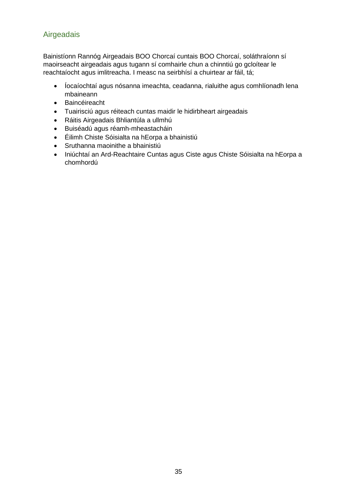### <span id="page-34-0"></span>Airgeadais

Bainistíonn Rannóg Airgeadais BOO Chorcaí cuntais BOO Chorcaí, soláthraíonn sí maoirseacht airgeadais agus tugann sí comhairle chun a chinntiú go gcloítear le reachtaíocht agus imlitreacha. I measc na seirbhísí a chuirtear ar fáil, tá;

- Íocaíochtaí agus nósanna imeachta, ceadanna, rialuithe agus comhlíonadh lena mbaineann
- Baincéireacht
- Tuairisciú agus réiteach cuntas maidir le hidirbheart airgeadais
- Ráitis Airgeadais Bhliantúla a ullmhú
- Buiséadú agus réamh-mheastacháin
- Éilimh Chiste Sóisialta na hEorpa a bhainistiú
- Sruthanna maoinithe a bhainistiú
- Iniúchtaí an Ard-Reachtaire Cuntas agus Ciste agus Chiste Sóisialta na hEorpa a chomhordú